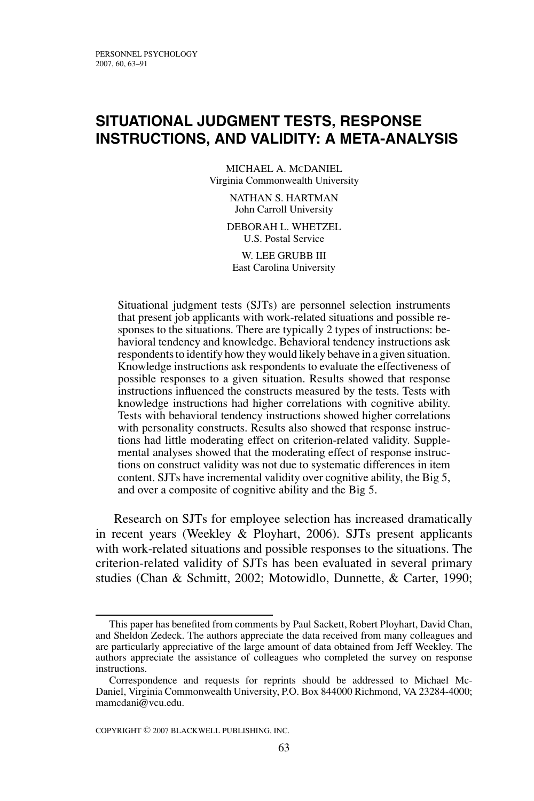# **SITUATIONAL JUDGMENT TESTS, RESPONSE INSTRUCTIONS, AND VALIDITY: A META-ANALYSIS**

MICHAEL A. MCDANIEL Virginia Commonwealth University

> NATHAN S. HARTMAN John Carroll University

DEBORAH L. WHETZEL U.S. Postal Service

W. LEE GRUBB III East Carolina University

Situational judgment tests (SJTs) are personnel selection instruments that present job applicants with work-related situations and possible responses to the situations. There are typically 2 types of instructions: behavioral tendency and knowledge. Behavioral tendency instructions ask respondents to identify how they would likely behave in a given situation. Knowledge instructions ask respondents to evaluate the effectiveness of possible responses to a given situation. Results showed that response instructions influenced the constructs measured by the tests. Tests with knowledge instructions had higher correlations with cognitive ability. Tests with behavioral tendency instructions showed higher correlations with personality constructs. Results also showed that response instructions had little moderating effect on criterion-related validity. Supplemental analyses showed that the moderating effect of response instructions on construct validity was not due to systematic differences in item content. SJTs have incremental validity over cognitive ability, the Big 5, and over a composite of cognitive ability and the Big 5.

Research on SJTs for employee selection has increased dramatically in recent years (Weekley & Ployhart, 2006). SJTs present applicants with work-related situations and possible responses to the situations. The criterion-related validity of SJTs has been evaluated in several primary studies (Chan & Schmitt, 2002; Motowidlo, Dunnette, & Carter, 1990;

COPYRIGHT © 2007 BLACKWELL PUBLISHING, INC.

This paper has benefited from comments by Paul Sackett, Robert Ployhart, David Chan, and Sheldon Zedeck. The authors appreciate the data received from many colleagues and are particularly appreciative of the large amount of data obtained from Jeff Weekley. The authors appreciate the assistance of colleagues who completed the survey on response instructions.

Correspondence and requests for reprints should be addressed to Michael Mc-Daniel, Virginia Commonwealth University, P.O. Box 844000 Richmond, VA 23284-4000; mamcdani@vcu.edu.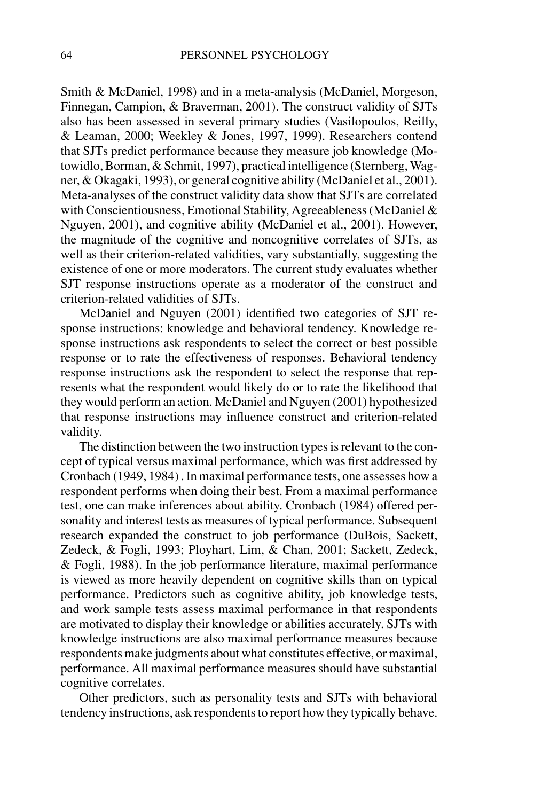Smith & McDaniel, 1998) and in a meta-analysis (McDaniel, Morgeson, Finnegan, Campion, & Braverman, 2001). The construct validity of SJTs also has been assessed in several primary studies (Vasilopoulos, Reilly, & Leaman, 2000; Weekley & Jones, 1997, 1999). Researchers contend that SJTs predict performance because they measure job knowledge (Motowidlo, Borman, & Schmit, 1997), practical intelligence (Sternberg, Wagner, & Okagaki, 1993), or general cognitive ability (McDaniel et al., 2001). Meta-analyses of the construct validity data show that SJTs are correlated with Conscientiousness, Emotional Stability, Agreeableness (McDaniel & Nguyen, 2001), and cognitive ability (McDaniel et al., 2001). However, the magnitude of the cognitive and noncognitive correlates of SJTs, as well as their criterion-related validities, vary substantially, suggesting the existence of one or more moderators. The current study evaluates whether SJT response instructions operate as a moderator of the construct and criterion-related validities of SJTs.

McDaniel and Nguyen (2001) identified two categories of SJT response instructions: knowledge and behavioral tendency. Knowledge response instructions ask respondents to select the correct or best possible response or to rate the effectiveness of responses. Behavioral tendency response instructions ask the respondent to select the response that represents what the respondent would likely do or to rate the likelihood that they would perform an action. McDaniel and Nguyen (2001) hypothesized that response instructions may influence construct and criterion-related validity.

The distinction between the two instruction types is relevant to the concept of typical versus maximal performance, which was first addressed by Cronbach (1949, 1984) . In maximal performance tests, one assesses how a respondent performs when doing their best. From a maximal performance test, one can make inferences about ability. Cronbach (1984) offered personality and interest tests as measures of typical performance. Subsequent research expanded the construct to job performance (DuBois, Sackett, Zedeck, & Fogli, 1993; Ployhart, Lim, & Chan, 2001; Sackett, Zedeck, & Fogli, 1988). In the job performance literature, maximal performance is viewed as more heavily dependent on cognitive skills than on typical performance. Predictors such as cognitive ability, job knowledge tests, and work sample tests assess maximal performance in that respondents are motivated to display their knowledge or abilities accurately. SJTs with knowledge instructions are also maximal performance measures because respondents make judgments about what constitutes effective, or maximal, performance. All maximal performance measures should have substantial cognitive correlates.

Other predictors, such as personality tests and SJTs with behavioral tendency instructions, ask respondents to report how they typically behave.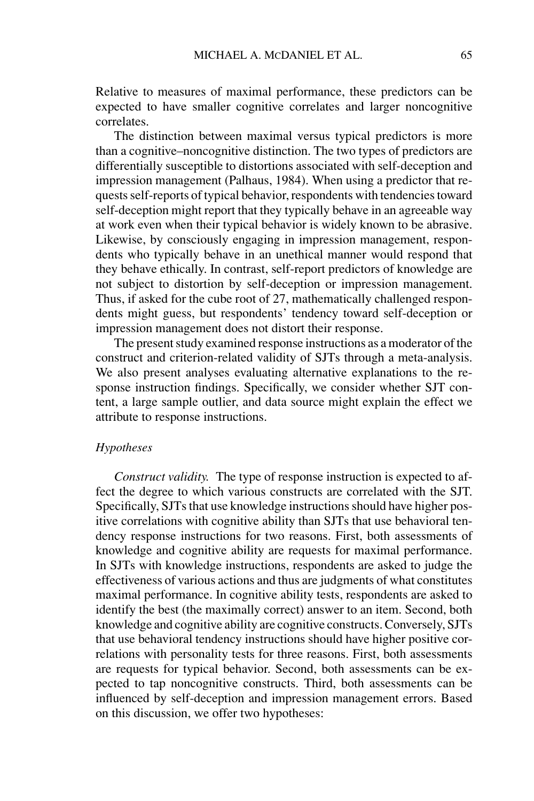Relative to measures of maximal performance, these predictors can be expected to have smaller cognitive correlates and larger noncognitive correlates.

The distinction between maximal versus typical predictors is more than a cognitive–noncognitive distinction. The two types of predictors are differentially susceptible to distortions associated with self-deception and impression management (Palhaus, 1984). When using a predictor that requests self-reports of typical behavior, respondents with tendencies toward self-deception might report that they typically behave in an agreeable way at work even when their typical behavior is widely known to be abrasive. Likewise, by consciously engaging in impression management, respondents who typically behave in an unethical manner would respond that they behave ethically. In contrast, self-report predictors of knowledge are not subject to distortion by self-deception or impression management. Thus, if asked for the cube root of 27, mathematically challenged respondents might guess, but respondents' tendency toward self-deception or impression management does not distort their response.

The present study examined response instructions as a moderator of the construct and criterion-related validity of SJTs through a meta-analysis. We also present analyses evaluating alternative explanations to the response instruction findings. Specifically, we consider whether SJT content, a large sample outlier, and data source might explain the effect we attribute to response instructions.

## *Hypotheses*

*Construct validity.* The type of response instruction is expected to affect the degree to which various constructs are correlated with the SJT. Specifically, SJTs that use knowledge instructions should have higher positive correlations with cognitive ability than SJTs that use behavioral tendency response instructions for two reasons. First, both assessments of knowledge and cognitive ability are requests for maximal performance. In SJTs with knowledge instructions, respondents are asked to judge the effectiveness of various actions and thus are judgments of what constitutes maximal performance. In cognitive ability tests, respondents are asked to identify the best (the maximally correct) answer to an item. Second, both knowledge and cognitive ability are cognitive constructs. Conversely, SJTs that use behavioral tendency instructions should have higher positive correlations with personality tests for three reasons. First, both assessments are requests for typical behavior. Second, both assessments can be expected to tap noncognitive constructs. Third, both assessments can be influenced by self-deception and impression management errors. Based on this discussion, we offer two hypotheses: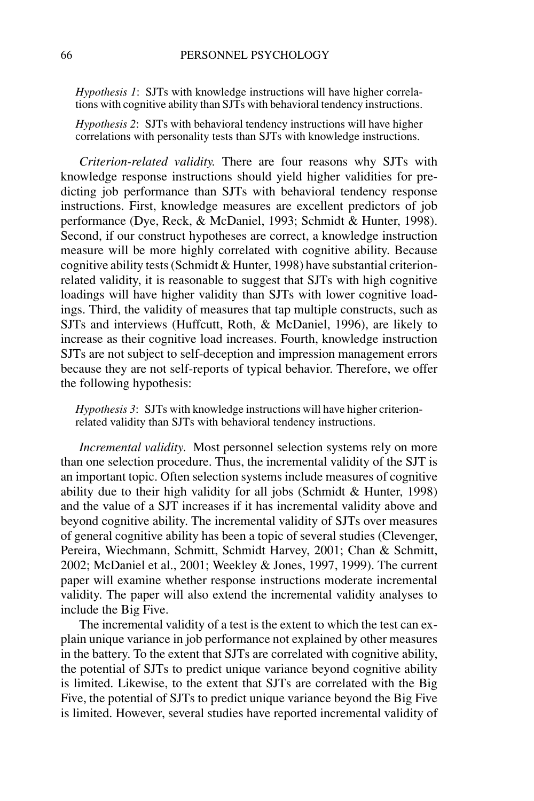*Hypothesis 1*: SJTs with knowledge instructions will have higher correlations with cognitive ability than SJTs with behavioral tendency instructions.

*Hypothesis 2*: SJTs with behavioral tendency instructions will have higher correlations with personality tests than SJTs with knowledge instructions.

*Criterion-related validity.* There are four reasons why SJTs with knowledge response instructions should yield higher validities for predicting job performance than SJTs with behavioral tendency response instructions. First, knowledge measures are excellent predictors of job performance (Dye, Reck, & McDaniel, 1993; Schmidt & Hunter, 1998). Second, if our construct hypotheses are correct, a knowledge instruction measure will be more highly correlated with cognitive ability. Because cognitive ability tests (Schmidt & Hunter, 1998) have substantial criterionrelated validity, it is reasonable to suggest that SJTs with high cognitive loadings will have higher validity than SJTs with lower cognitive loadings. Third, the validity of measures that tap multiple constructs, such as SJTs and interviews (Huffcutt, Roth, & McDaniel, 1996), are likely to increase as their cognitive load increases. Fourth, knowledge instruction SJTs are not subject to self-deception and impression management errors because they are not self-reports of typical behavior. Therefore, we offer the following hypothesis:

*Hypothesis 3*: SJTs with knowledge instructions will have higher criterionrelated validity than SJTs with behavioral tendency instructions.

*Incremental validity.* Most personnel selection systems rely on more than one selection procedure. Thus, the incremental validity of the SJT is an important topic. Often selection systems include measures of cognitive ability due to their high validity for all jobs (Schmidt & Hunter, 1998) and the value of a SJT increases if it has incremental validity above and beyond cognitive ability. The incremental validity of SJTs over measures of general cognitive ability has been a topic of several studies (Clevenger, Pereira, Wiechmann, Schmitt, Schmidt Harvey, 2001; Chan & Schmitt, 2002; McDaniel et al., 2001; Weekley & Jones, 1997, 1999). The current paper will examine whether response instructions moderate incremental validity. The paper will also extend the incremental validity analyses to include the Big Five.

The incremental validity of a test is the extent to which the test can explain unique variance in job performance not explained by other measures in the battery. To the extent that SJTs are correlated with cognitive ability, the potential of SJTs to predict unique variance beyond cognitive ability is limited. Likewise, to the extent that SJTs are correlated with the Big Five, the potential of SJTs to predict unique variance beyond the Big Five is limited. However, several studies have reported incremental validity of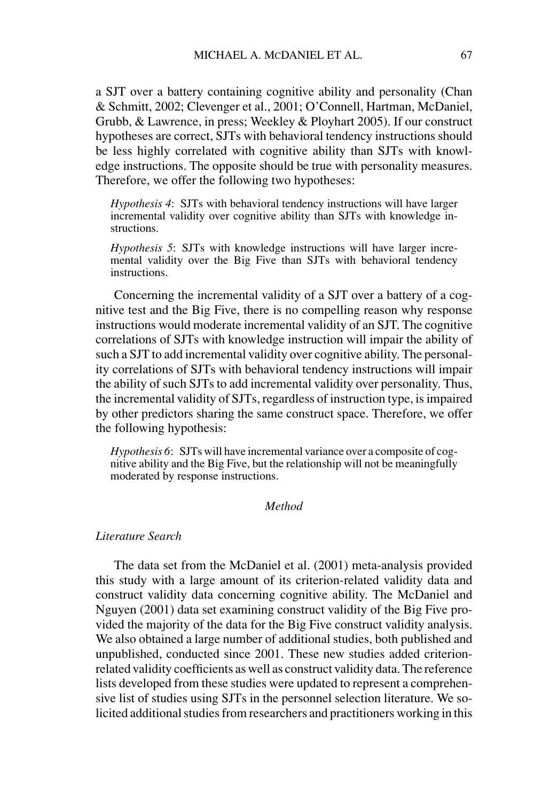a SJT over a battery containing cognitive ability and personality (Chan & Schmitt, 2002; Clevenger et al., 2001; O'Connell, Hartman, McDaniel, Grubb, & Lawrence, in press; Weekley & Ployhart 2005). If our construct hypotheses are correct, SJTs with behavioral tendency instructions should be less highly correlated with cognitive ability than SJTs with knowledge instructions. The opposite should be true with personality measures. Therefore, we offer the following two hypotheses:

*Hypothesis 4*: SJTs with behavioral tendency instructions will have larger incremental validity over cognitive ability than SJTs with knowledge instructions.

*Hypothesis 5*: SJTs with knowledge instructions will have larger incremental validity over the Big Five than SJTs with behavioral tendency instructions.

Concerning the incremental validity of a SJT over a battery of a cognitive test and the Big Five, there is no compelling reason why response instructions would moderate incremental validity of an SJT. The cognitive correlations of SJTs with knowledge instruction will impair the ability of such a SJT to add incremental validity over cognitive ability. The personality correlations of SJTs with behavioral tendency instructions will impair the ability of such SJTs to add incremental validity over personality. Thus, the incremental validity of SJTs, regardless of instruction type, is impaired by other predictors sharing the same construct space. Therefore, we offer the following hypothesis:

*Hypothesis 6*: SJTs will have incremental variance over a composite of cognitive ability and the Big Five, but the relationship will not be meaningfully moderated by response instructions.

#### *Method*

### *Literature Search*

The data set from the McDaniel et al. (2001) meta-analysis provided this study with a large amount of its criterion-related validity data and construct validity data concerning cognitive ability. The McDaniel and Nguyen (2001) data set examining construct validity of the Big Five provided the majority of the data for the Big Five construct validity analysis. We also obtained a large number of additional studies, both published and unpublished, conducted since 2001. These new studies added criterionrelated validity coefficients as well as construct validity data. The reference lists developed from these studies were updated to represent a comprehensive list of studies using SJTs in the personnel selection literature. We solicited additional studies from researchers and practitioners working in this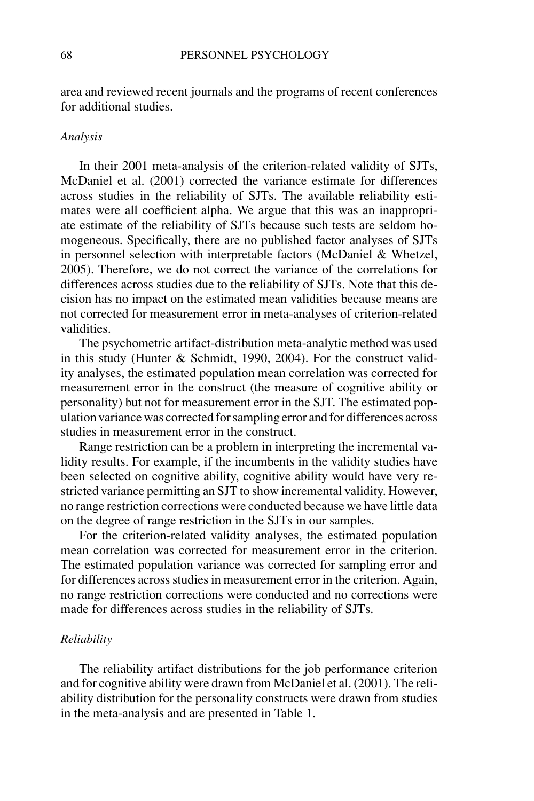area and reviewed recent journals and the programs of recent conferences for additional studies.

## *Analysis*

In their 2001 meta-analysis of the criterion-related validity of SJTs, McDaniel et al. (2001) corrected the variance estimate for differences across studies in the reliability of SJTs. The available reliability estimates were all coefficient alpha. We argue that this was an inappropriate estimate of the reliability of SJTs because such tests are seldom homogeneous. Specifically, there are no published factor analyses of SJTs in personnel selection with interpretable factors (McDaniel & Whetzel, 2005). Therefore, we do not correct the variance of the correlations for differences across studies due to the reliability of SJTs. Note that this decision has no impact on the estimated mean validities because means are not corrected for measurement error in meta-analyses of criterion-related validities.

The psychometric artifact-distribution meta-analytic method was used in this study (Hunter & Schmidt, 1990, 2004). For the construct validity analyses, the estimated population mean correlation was corrected for measurement error in the construct (the measure of cognitive ability or personality) but not for measurement error in the SJT. The estimated population variance was corrected for sampling error and for differences across studies in measurement error in the construct.

Range restriction can be a problem in interpreting the incremental validity results. For example, if the incumbents in the validity studies have been selected on cognitive ability, cognitive ability would have very restricted variance permitting an SJT to show incremental validity. However, no range restriction corrections were conducted because we have little data on the degree of range restriction in the SJTs in our samples.

For the criterion-related validity analyses, the estimated population mean correlation was corrected for measurement error in the criterion. The estimated population variance was corrected for sampling error and for differences across studies in measurement error in the criterion. Again, no range restriction corrections were conducted and no corrections were made for differences across studies in the reliability of SJTs.

#### *Reliability*

The reliability artifact distributions for the job performance criterion and for cognitive ability were drawn from McDaniel et al. (2001). The reliability distribution for the personality constructs were drawn from studies in the meta-analysis and are presented in Table 1.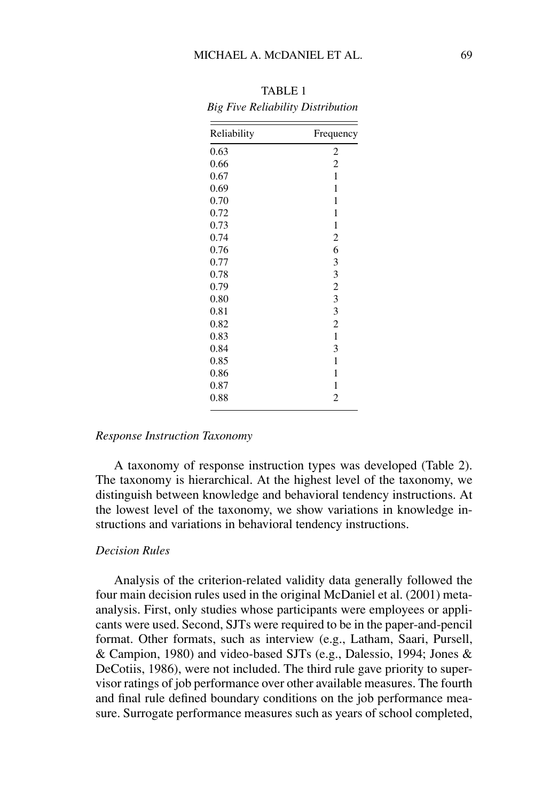| Reliability | Frequency               |
|-------------|-------------------------|
| 0.63        | 2                       |
| 0.66        | $\overline{c}$          |
| 0.67        | $\mathbf{1}$            |
| 0.69        | 1                       |
| 0.70        | 1                       |
| 0.72        | 1                       |
| 0.73        | 1                       |
| 0.74        | 2                       |
| 0.76        | 6                       |
| 0.77        | 3                       |
| 0.78        | 3                       |
| 0.79        | $\overline{c}$          |
| $_{0.80}$   | $\overline{\mathbf{3}}$ |
| 0.81        | 3                       |
| 0.82        | $\overline{2}$          |
| 0.83        | $\mathbf{1}$            |
| 0.84        | 3                       |
| 0.85        | 1                       |
| 0.86        | 1                       |
| 0.87        | 1                       |
| 0.88        | $\overline{c}$          |

TABLE 1 *Big Five Reliability Distribution*

#### *Response Instruction Taxonomy*

A taxonomy of response instruction types was developed (Table 2). The taxonomy is hierarchical. At the highest level of the taxonomy, we distinguish between knowledge and behavioral tendency instructions. At the lowest level of the taxonomy, we show variations in knowledge instructions and variations in behavioral tendency instructions.

#### *Decision Rules*

Analysis of the criterion-related validity data generally followed the four main decision rules used in the original McDaniel et al. (2001) metaanalysis. First, only studies whose participants were employees or applicants were used. Second, SJTs were required to be in the paper-and-pencil format. Other formats, such as interview (e.g., Latham, Saari, Pursell, & Campion, 1980) and video-based SJTs (e.g., Dalessio, 1994; Jones & DeCotiis, 1986), were not included. The third rule gave priority to supervisor ratings of job performance over other available measures. The fourth and final rule defined boundary conditions on the job performance measure. Surrogate performance measures such as years of school completed,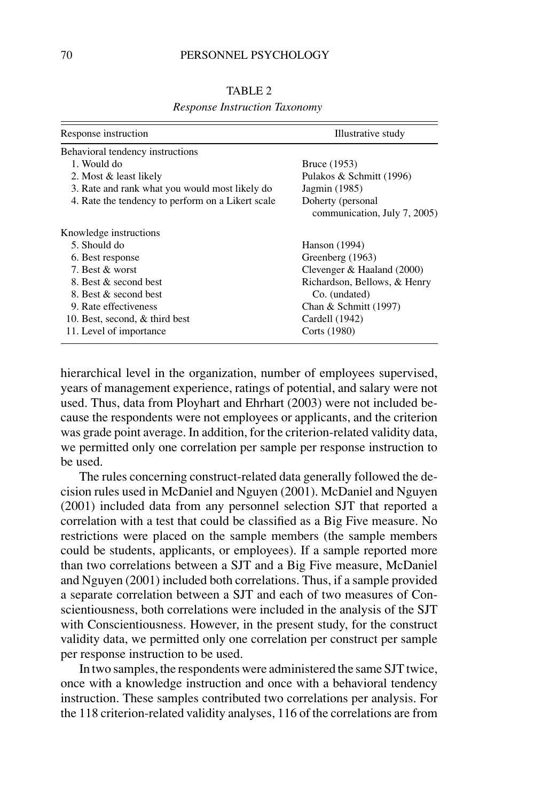#### 70 PERSONNEL PSYCHOLOGY

## TABLE 2

| Response instruction                              | Illustrative study                                |
|---------------------------------------------------|---------------------------------------------------|
| Behavioral tendency instructions                  |                                                   |
| 1. Would do                                       | Bruce (1953)                                      |
| 2. Most & least likely                            | Pulakos & Schmitt (1996)                          |
| 3. Rate and rank what you would most likely do    | Jagmin (1985)                                     |
| 4. Rate the tendency to perform on a Likert scale | Doherty (personal<br>communication, July 7, 2005) |
| Knowledge instructions                            |                                                   |
| 5. Should do                                      | Hanson (1994)                                     |
| 6. Best response                                  | Greenberg (1963)                                  |
| 7. Best & worst                                   | Clevenger & Haaland (2000)                        |
| 8. Best & second best                             | Richardson, Bellows, & Henry                      |
| 8. Best & second best                             | Co. (undated)                                     |
| 9. Rate effectiveness                             | Chan & Schmitt $(1997)$                           |
| 10. Best, second, & third best                    | Cardell (1942)                                    |
| 11. Level of importance                           | Corts (1980)                                      |

#### *Response Instruction Taxonomy*

hierarchical level in the organization, number of employees supervised, years of management experience, ratings of potential, and salary were not used. Thus, data from Ployhart and Ehrhart (2003) were not included because the respondents were not employees or applicants, and the criterion was grade point average. In addition, for the criterion-related validity data, we permitted only one correlation per sample per response instruction to be used.

The rules concerning construct-related data generally followed the decision rules used in McDaniel and Nguyen (2001). McDaniel and Nguyen (2001) included data from any personnel selection SJT that reported a correlation with a test that could be classified as a Big Five measure. No restrictions were placed on the sample members (the sample members could be students, applicants, or employees). If a sample reported more than two correlations between a SJT and a Big Five measure, McDaniel and Nguyen (2001) included both correlations. Thus, if a sample provided a separate correlation between a SJT and each of two measures of Conscientiousness, both correlations were included in the analysis of the SJT with Conscientiousness. However, in the present study, for the construct validity data, we permitted only one correlation per construct per sample per response instruction to be used.

In two samples, the respondents were administered the same SJT twice, once with a knowledge instruction and once with a behavioral tendency instruction. These samples contributed two correlations per analysis. For the 118 criterion-related validity analyses, 116 of the correlations are from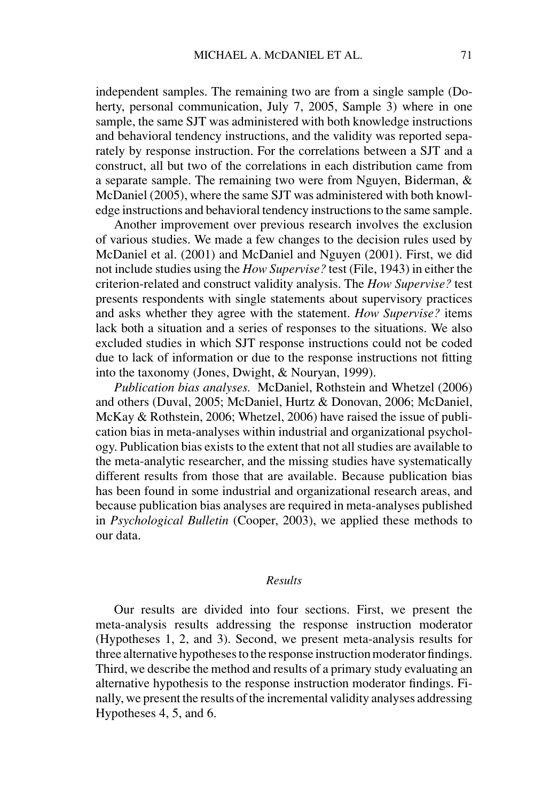independent samples. The remaining two are from a single sample (Doherty, personal communication, July 7, 2005, Sample 3) where in one sample, the same SJT was administered with both knowledge instructions and behavioral tendency instructions, and the validity was reported separately by response instruction. For the correlations between a SJT and a construct, all but two of the correlations in each distribution came from a separate sample. The remaining two were from Nguyen, Biderman, & McDaniel (2005), where the same SJT was administered with both knowledge instructions and behavioral tendency instructions to the same sample.

Another improvement over previous research involves the exclusion of various studies. We made a few changes to the decision rules used by McDaniel et al. (2001) and McDaniel and Nguyen (2001). First, we did not include studies using the *How Supervise?* test (File, 1943) in either the criterion-related and construct validity analysis. The *How Supervise?* test presents respondents with single statements about supervisory practices and asks whether they agree with the statement. *How Supervise?* items lack both a situation and a series of responses to the situations. We also excluded studies in which SJT response instructions could not be coded due to lack of information or due to the response instructions not fitting into the taxonomy (Jones, Dwight, & Nouryan, 1999).

*Publication bias analyses.* McDaniel, Rothstein and Whetzel (2006) and others (Duval, 2005; McDaniel, Hurtz & Donovan, 2006; McDaniel, McKay & Rothstein, 2006; Whetzel, 2006) have raised the issue of publication bias in meta-analyses within industrial and organizational psychology. Publication bias exists to the extent that not all studies are available to the meta-analytic researcher, and the missing studies have systematically different results from those that are available. Because publication bias has been found in some industrial and organizational research areas, and because publication bias analyses are required in meta-analyses published in *Psychological Bulletin* (Cooper, 2003), we applied these methods to our data.

#### *Results*

Our results are divided into four sections. First, we present the meta-analysis results addressing the response instruction moderator (Hypotheses 1, 2, and 3). Second, we present meta-analysis results for three alternative hypotheses to the response instruction moderator findings. Third, we describe the method and results of a primary study evaluating an alternative hypothesis to the response instruction moderator findings. Finally, we present the results of the incremental validity analyses addressing Hypotheses 4, 5, and 6.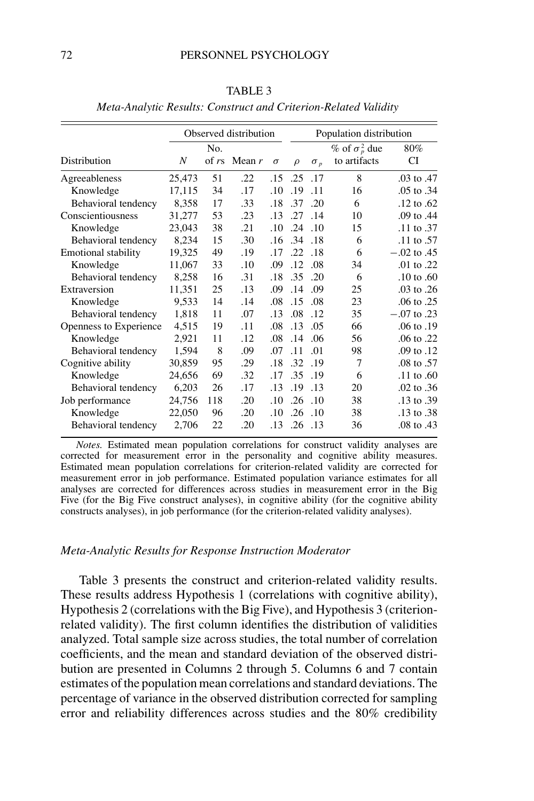### TABLE 3

|                            |        |              | Observed distribution |          |        |              | Population distribution  |                 |
|----------------------------|--------|--------------|-----------------------|----------|--------|--------------|--------------------------|-----------------|
|                            |        | No.          |                       |          |        |              | $\%$ of $\sigma_n^2$ due | 80%             |
| Distribution               | N      | of <i>rs</i> | Mean $r$              | $\sigma$ | $\rho$ | $\sigma_{p}$ | to artifacts             | CI              |
| Agreeableness              | 25,473 | 51           | .22                   | .15      | .25    | .17          | 8                        | .03 to .47      |
| Knowledge                  | 17,115 | 34           | .17                   | .10      | .19    | .11          | 16                       | .05 to .34      |
| Behavioral tendency        | 8,358  | 17           | .33                   | .18      | .37    | .20          | 6                        | $.12$ to $.62$  |
| Conscientiousness          | 31,277 | 53           | .23                   | .13      | .27    | .14          | 10                       | .09 to .44      |
| Knowledge                  | 23,043 | 38           | .21                   | .10      | .24    | .10          | 15                       | .11 to .37      |
| Behavioral tendency        | 8,234  | 15           | .30                   | .16      | .34    | .18          | 6                        | .11 to .57      |
| <b>Emotional stability</b> | 19,325 | 49           | .19                   | .17      | .22    | .18          | 6                        | $-.02$ to $.45$ |
| Knowledge                  | 11,067 | 33           | .10                   | .09      | .12    | .08          | 34                       | .01 to .22      |
| Behavioral tendency        | 8,258  | 16           | .31                   | .18      | .35    | .20          | 6                        | $.10$ to $.60$  |
| Extraversion               | 11,351 | 25           | .13                   | .09      | .14    | .09          | 25                       | .03 to .26      |
| Knowledge                  | 9,533  | 14           | .14                   | .08      | .15    | .08          | 23                       | .06 to .25      |
| Behavioral tendency        | 1,818  | 11           | .07                   | .13      | .08    | .12          | 35                       | $-.07$ to .23   |
| Openness to Experience     | 4,515  | 19           | .11                   | .08      | .13    | .05          | 66                       | $.06$ to $.19$  |
| Knowledge                  | 2,921  | 11           | .12                   | .08      | .14    | .06          | 56                       | .06 to $.22$    |
| Behavioral tendency        | 1,594  | 8            | .09                   | .07      | .11    | .01          | 98                       | .09 to .12      |
| Cognitive ability          | 30,859 | 95           | .29                   | .18      | .32    | .19          | 7                        | .08 to .57      |
| Knowledge                  | 24,656 | 69           | .32                   | .17      | .35    | .19          | 6                        | .11 to .60      |
| Behavioral tendency        | 6,203  | 26           | .17                   | .13      | .19    | .13          | 20                       | .02 to .36      |
| Job performance            | 24,756 | 118          | .20                   | .10      | .26    | .10          | 38                       | .13 to .39      |
| Knowledge                  | 22,050 | 96           | .20                   | .10      | .26    | .10          | 38                       | .13 to .38      |
| Behavioral tendency        | 2,706  | 22           | .20                   | .13      | .26    | .13          | 36                       | .08 to .43      |

*Meta-Analytic Results: Construct and Criterion-Related Validity*

*Notes.* Estimated mean population correlations for construct validity analyses are corrected for measurement error in the personality and cognitive ability measures. Estimated mean population correlations for criterion-related validity are corrected for measurement error in job performance. Estimated population variance estimates for all analyses are corrected for differences across studies in measurement error in the Big Five (for the Big Five construct analyses), in cognitive ability (for the cognitive ability constructs analyses), in job performance (for the criterion-related validity analyses).

### *Meta-Analytic Results for Response Instruction Moderator*

Table 3 presents the construct and criterion-related validity results. These results address Hypothesis 1 (correlations with cognitive ability), Hypothesis 2 (correlations with the Big Five), and Hypothesis 3 (criterionrelated validity). The first column identifies the distribution of validities analyzed. Total sample size across studies, the total number of correlation coefficients, and the mean and standard deviation of the observed distribution are presented in Columns 2 through 5. Columns 6 and 7 contain estimates of the population mean correlations and standard deviations. The percentage of variance in the observed distribution corrected for sampling error and reliability differences across studies and the 80% credibility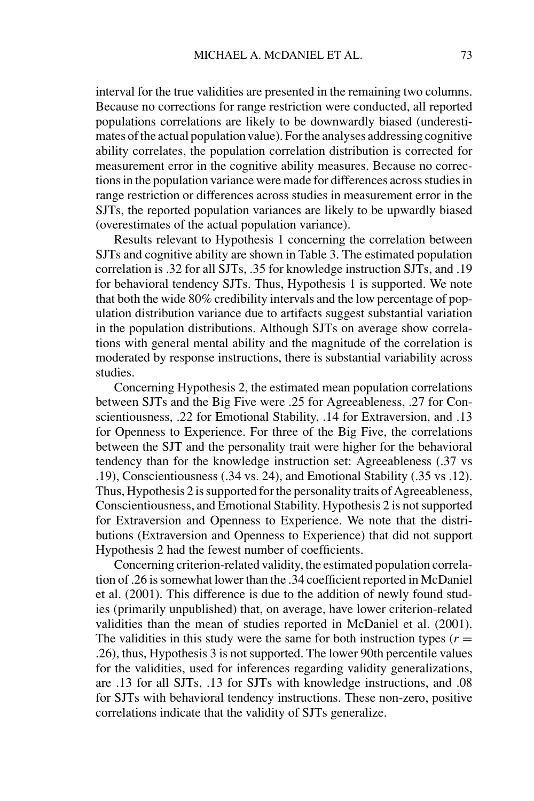interval for the true validities are presented in the remaining two columns. Because no corrections for range restriction were conducted, all reported populations correlations are likely to be downwardly biased (underestimates of the actual population value). For the analyses addressing cognitive ability correlates, the population correlation distribution is corrected for measurement error in the cognitive ability measures. Because no corrections in the population variance were made for differences across studies in range restriction or differences across studies in measurement error in the SJTs, the reported population variances are likely to be upwardly biased (overestimates of the actual population variance).

Results relevant to Hypothesis 1 concerning the correlation between SJTs and cognitive ability are shown in Table 3. The estimated population correlation is .32 for all SJTs, .35 for knowledge instruction SJTs, and .19 for behavioral tendency SJTs. Thus, Hypothesis 1 is supported. We note that both the wide 80% credibility intervals and the low percentage of population distribution variance due to artifacts suggest substantial variation in the population distributions. Although SJTs on average show correlations with general mental ability and the magnitude of the correlation is moderated by response instructions, there is substantial variability across studies.

Concerning Hypothesis 2, the estimated mean population correlations between SJTs and the Big Five were .25 for Agreeableness, .27 for Conscientiousness, .22 for Emotional Stability, .14 for Extraversion, and .13 for Openness to Experience. For three of the Big Five, the correlations between the SJT and the personality trait were higher for the behavioral tendency than for the knowledge instruction set: Agreeableness (.37 vs .19), Conscientiousness (.34 vs. 24), and Emotional Stability (.35 vs .12). Thus, Hypothesis 2 is supported for the personality traits of Agreeableness, Conscientiousness, and Emotional Stability. Hypothesis 2 is not supported for Extraversion and Openness to Experience. We note that the distributions (Extraversion and Openness to Experience) that did not support Hypothesis 2 had the fewest number of coefficients.

Concerning criterion-related validity, the estimated population correlation of .26 is somewhat lower than the .34 coefficient reported in McDaniel et al. (2001). This difference is due to the addition of newly found studies (primarily unpublished) that, on average, have lower criterion-related validities than the mean of studies reported in McDaniel et al. (2001). The validities in this study were the same for both instruction types ( $r =$ .26), thus, Hypothesis 3 is not supported. The lower 90th percentile values for the validities, used for inferences regarding validity generalizations, are .13 for all SJTs, .13 for SJTs with knowledge instructions, and .08 for SJTs with behavioral tendency instructions. These non-zero, positive correlations indicate that the validity of SJTs generalize.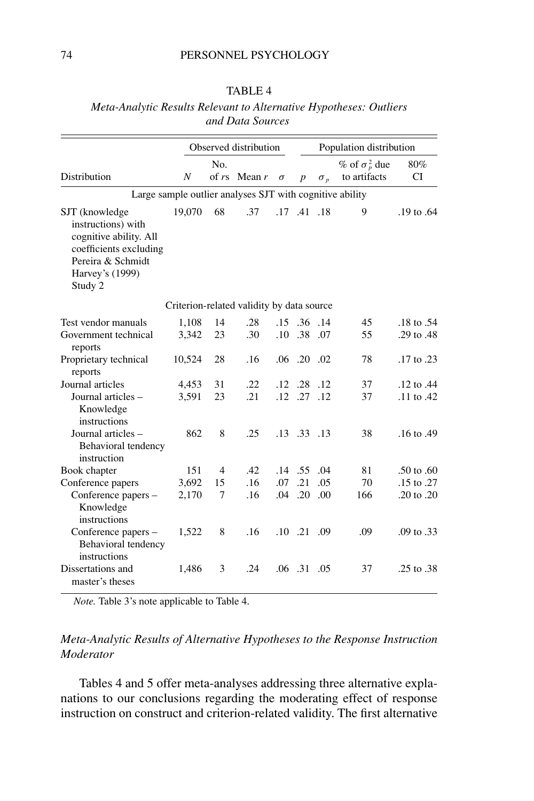# TABLE 4

*Meta-Analytic Results Relevant to Alternative Hypotheses: Outliers and Data Sources*

|                                                                                                                           |                  |                                | Observed distribution                                    |          |                           |              | Population distribution               |                       |
|---------------------------------------------------------------------------------------------------------------------------|------------------|--------------------------------|----------------------------------------------------------|----------|---------------------------|--------------|---------------------------------------|-----------------------|
| Distribution                                                                                                              | $\boldsymbol{N}$ | N <sub>0</sub><br>of <i>rs</i> | Mean $r$                                                 | $\sigma$ | $\boldsymbol{p}$          | $\sigma_{p}$ | % of $\sigma_p^2$ due<br>to artifacts | 80%<br><b>CI</b>      |
|                                                                                                                           |                  |                                | Large sample outlier analyses SJT with cognitive ability |          |                           |              |                                       |                       |
| SJT (knowledge                                                                                                            | 19,070           | 68                             | .37                                                      |          | $.17$ $.41$ $.18$         |              | 9                                     | $.19 \text{ to } .64$ |
| instructions) with<br>cognitive ability. All<br>coefficients excluding<br>Pereira & Schmidt<br>Harvey's (1999)<br>Study 2 |                  |                                |                                                          |          |                           |              |                                       |                       |
|                                                                                                                           |                  |                                | Criterion-related validity by data source                |          |                           |              |                                       |                       |
| Test vendor manuals                                                                                                       | 1,108            | 14                             | .28                                                      |          | $.15$ $.36$ $.14$         |              | 45                                    | .18 to .54            |
| Government technical<br>reports                                                                                           | 3,342            | 23                             | .30                                                      | .10      | .38                       | .07          | 55                                    | .29 to .48            |
| Proprietary technical<br>reports                                                                                          | 10,524           | 28                             | .16                                                      | .06      | .20                       | .02          | 78                                    | .17 to .23            |
| Journal articles                                                                                                          | 4,453            | 31                             | .22                                                      |          | $.12$ $.28$               | .12          | 37                                    | .12 to .44            |
| Journal articles -<br>Knowledge<br>instructions                                                                           | 3,591            | 23                             | .21                                                      | .12      | .27                       | .12          | 37                                    | .11 to .42            |
| Journal articles -<br>Behavioral tendency<br>instruction                                                                  | 862              | 8                              | .25                                                      |          | $.13 \quad .33 \quad .13$ |              | 38                                    | .16 to .49            |
| Book chapter                                                                                                              | 151              | $\overline{4}$                 | .42                                                      |          | $.14$ .55                 | .04          | 81                                    | $.50$ to $.60$        |
| Conference papers                                                                                                         | 3,692            | 15                             | .16                                                      | .07      | .21                       | .05          | 70                                    | $.15$ to $.27$        |
| Conference papers -<br>Knowledge<br>instructions                                                                          | 2,170            | $\tau$                         | .16                                                      | .04      | .20                       | .00          | 166                                   | .20 to .20            |
| Conference papers –<br>Behavioral tendency<br>instructions                                                                | 1,522            | 8                              | .16                                                      |          | $.10$ $.21$               | - .09        | .09                                   | .09 to .33            |
| Dissertations and<br>master's theses                                                                                      | 1,486            | 3                              | .24                                                      |          | $.06$ $.31$               | .05          | 37                                    | .25 to .38            |

*Note.* Table 3's note applicable to Table 4.

# *Meta-Analytic Results of Alternative Hypotheses to the Response Instruction Moderator*

Tables 4 and 5 offer meta-analyses addressing three alternative explanations to our conclusions regarding the moderating effect of response instruction on construct and criterion-related validity. The first alternative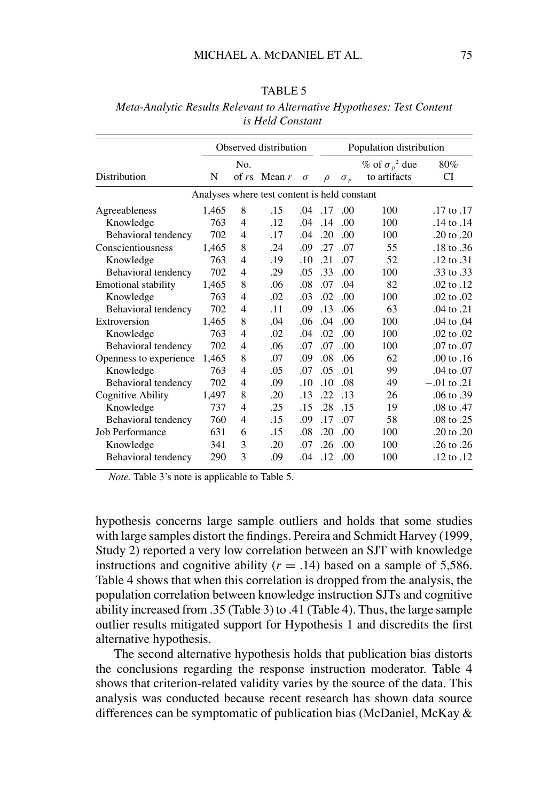| n |  |
|---|--|
|---|--|

|                            |       |                | Observed distribution                        |          |               |                  | Population distribution |                       |
|----------------------------|-------|----------------|----------------------------------------------|----------|---------------|------------------|-------------------------|-----------------------|
|                            |       | N <sub>0</sub> |                                              |          |               |                  | % of $\sigma_n^2$ due   | 80%                   |
| Distribution               | N     | $of$ $rs$      | Mean $r$                                     | $\sigma$ | $\mathcal{O}$ | $\sigma_{v}$     | to artifacts            | CI                    |
|                            |       |                | Analyses where test content is held constant |          |               |                  |                         |                       |
| Agreeableness              | 1,465 | 8              | .15                                          | .04      | .17           | .00              | 100                     | .17 to .17            |
| Knowledge                  | 763   | 4              | .12                                          | .04      | .14           | .00              | 100                     | .14 to .14            |
| Behavioral tendency        | 702   | 4              | .17                                          | .04      | .20           | .00              | 100                     | .20 to .20            |
| Conscientiousness          | 1,465 | 8              | .24                                          | .09      | .27           | .07              | 55                      | .18 to .36            |
| Knowledge                  | 763   | 4              | .19                                          | .10      | .21           | .07              | 52                      | .12 to .31            |
| Behavioral tendency        | 702   | 4              | .29                                          | .05      | .33           | .00              | 100                     | .33 to .33            |
| <b>Emotional stability</b> | 1,465 | 8              | .06                                          | .08      | .07           | .04              | 82                      | $.02$ to $.12$        |
| Knowledge                  | 763   | 4              | .02                                          | .03      | .02           | .00              | 100                     | .02 to .02            |
| Behavioral tendency        | 702   | 4              | .11                                          | .09      | .13           | .06              | 63                      | .04 to .21            |
| Extroversion               | 1,465 | 8              | .04                                          | .06      | .04           | .00              | 100                     | $.04$ to $.04$        |
| Knowledge                  | 763   | 4              | .02                                          | .04      | .02           | .00 <sub>1</sub> | 100                     | $.02$ to $.02$        |
| Behavioral tendency        | 702   | 4              | .06                                          | .07      | .07           | .00.             | 100                     | .07 to .07            |
| Openness to experience     | 1,465 | 8              | .07                                          | .09      | .08           | .06              | 62                      | .00 to $.16$          |
| Knowledge                  | 763   | 4              | .05                                          | .07      | .05           | .01              | 99                      | $.04$ to $.07$        |
| Behavioral tendency        | 702   | 4              | .09                                          | .10      | .10           | .08              | 49                      | $-.01$ to .21         |
| Cognitive Ability          | 1,497 | 8              | .20                                          | .13      | .22           | .13              | 26                      | $.06 \text{ to } .39$ |
| Knowledge                  | 737   | 4              | .25                                          | .15      | .28           | .15              | 19                      | .08 to .47            |
| Behavioral tendency        | 760   | 4              | .15                                          | .09      | .17           | .07              | 58                      | .08 to .25            |
| Job Performance            | 631   | 6              | .15                                          | .08      | .20           | .00.             | 100                     | .20 to .20            |
| Knowledge                  | 341   | 3              | .20                                          | .07      | .26           | .00              | 100                     | .26 to .26            |
| Behavioral tendency        | 290   | $\mathbf{3}$   | .09                                          | .04      | .12           | .00              | 100                     | .12 to .12            |

*Meta-Analytic Results Relevant to Alternative Hypotheses: Test Content is Held Constant*

*Note.* Table 3's note is applicable to Table 5.

hypothesis concerns large sample outliers and holds that some studies with large samples distort the findings. Pereira and Schmidt Harvey (1999, Study 2) reported a very low correlation between an SJT with knowledge instructions and cognitive ability  $(r = .14)$  based on a sample of 5,586. Table 4 shows that when this correlation is dropped from the analysis, the population correlation between knowledge instruction SJTs and cognitive ability increased from .35 (Table 3) to .41 (Table 4). Thus, the large sample outlier results mitigated support for Hypothesis 1 and discredits the first alternative hypothesis.

The second alternative hypothesis holds that publication bias distorts the conclusions regarding the response instruction moderator. Table 4 shows that criterion-related validity varies by the source of the data. This analysis was conducted because recent research has shown data source differences can be symptomatic of publication bias (McDaniel, McKay &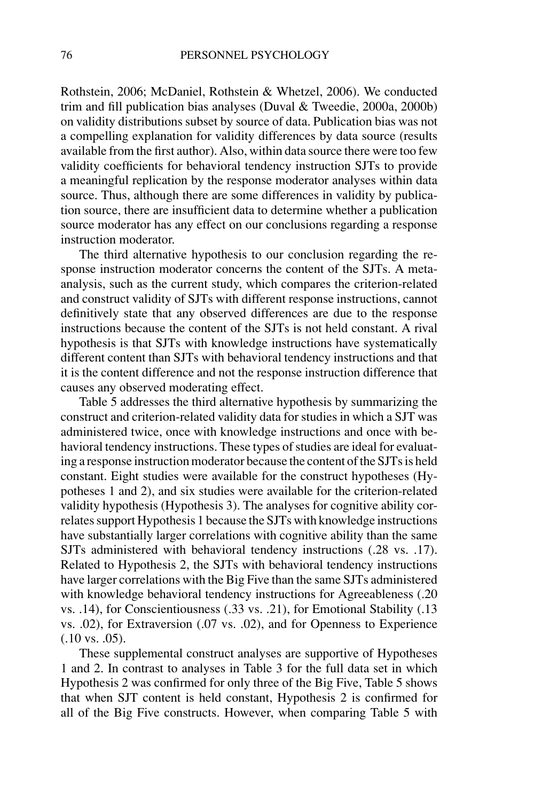Rothstein, 2006; McDaniel, Rothstein & Whetzel, 2006). We conducted trim and fill publication bias analyses (Duval & Tweedie, 2000a, 2000b) on validity distributions subset by source of data. Publication bias was not a compelling explanation for validity differences by data source (results available from the first author). Also, within data source there were too few validity coefficients for behavioral tendency instruction SJTs to provide a meaningful replication by the response moderator analyses within data source. Thus, although there are some differences in validity by publication source, there are insufficient data to determine whether a publication source moderator has any effect on our conclusions regarding a response instruction moderator.

The third alternative hypothesis to our conclusion regarding the response instruction moderator concerns the content of the SJTs. A metaanalysis, such as the current study, which compares the criterion-related and construct validity of SJTs with different response instructions, cannot definitively state that any observed differences are due to the response instructions because the content of the SJTs is not held constant. A rival hypothesis is that SJTs with knowledge instructions have systematically different content than SJTs with behavioral tendency instructions and that it is the content difference and not the response instruction difference that causes any observed moderating effect.

Table 5 addresses the third alternative hypothesis by summarizing the construct and criterion-related validity data for studies in which a SJT was administered twice, once with knowledge instructions and once with behavioral tendency instructions. These types of studies are ideal for evaluating a response instruction moderator because the content of the SJTs is held constant. Eight studies were available for the construct hypotheses (Hypotheses 1 and 2), and six studies were available for the criterion-related validity hypothesis (Hypothesis 3). The analyses for cognitive ability correlates support Hypothesis 1 because the SJTs with knowledge instructions have substantially larger correlations with cognitive ability than the same SJTs administered with behavioral tendency instructions (.28 vs. .17). Related to Hypothesis 2, the SJTs with behavioral tendency instructions have larger correlations with the Big Five than the same SJTs administered with knowledge behavioral tendency instructions for Agreeableness (.20 vs. .14), for Conscientiousness (.33 vs. .21), for Emotional Stability (.13 vs. .02), for Extraversion (.07 vs. .02), and for Openness to Experience (.10 vs. .05).

These supplemental construct analyses are supportive of Hypotheses 1 and 2. In contrast to analyses in Table 3 for the full data set in which Hypothesis 2 was confirmed for only three of the Big Five, Table 5 shows that when SJT content is held constant, Hypothesis 2 is confirmed for all of the Big Five constructs. However, when comparing Table 5 with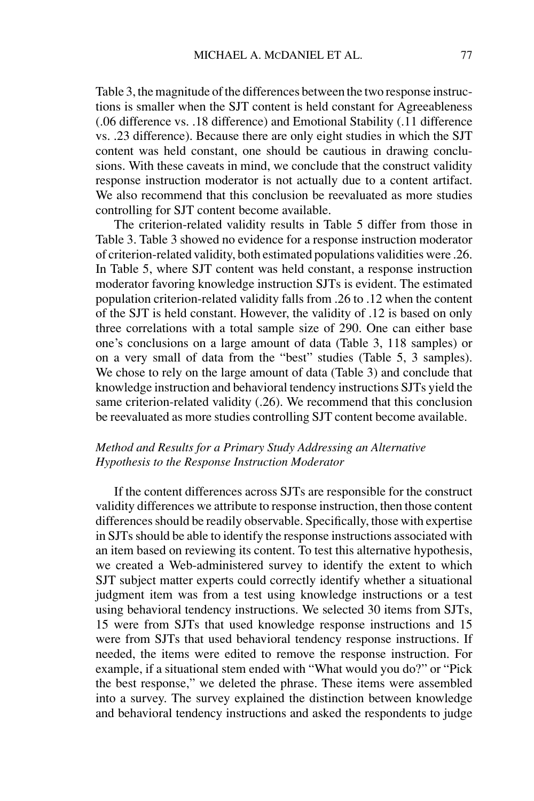Table 3, the magnitude of the differences between the two response instructions is smaller when the SJT content is held constant for Agreeableness (.06 difference vs. .18 difference) and Emotional Stability (.11 difference vs. .23 difference). Because there are only eight studies in which the SJT content was held constant, one should be cautious in drawing conclusions. With these caveats in mind, we conclude that the construct validity response instruction moderator is not actually due to a content artifact. We also recommend that this conclusion be reevaluated as more studies controlling for SJT content become available.

The criterion-related validity results in Table 5 differ from those in Table 3. Table 3 showed no evidence for a response instruction moderator of criterion-related validity, both estimated populations validities were .26. In Table 5, where SJT content was held constant, a response instruction moderator favoring knowledge instruction SJTs is evident. The estimated population criterion-related validity falls from .26 to .12 when the content of the SJT is held constant. However, the validity of .12 is based on only three correlations with a total sample size of 290. One can either base one's conclusions on a large amount of data (Table 3, 118 samples) or on a very small of data from the "best" studies (Table 5, 3 samples). We chose to rely on the large amount of data (Table 3) and conclude that knowledge instruction and behavioral tendency instructions SJTs yield the same criterion-related validity (.26). We recommend that this conclusion be reevaluated as more studies controlling SJT content become available.

# *Method and Results for a Primary Study Addressing an Alternative Hypothesis to the Response Instruction Moderator*

If the content differences across SJTs are responsible for the construct validity differences we attribute to response instruction, then those content differences should be readily observable. Specifically, those with expertise in SJTs should be able to identify the response instructions associated with an item based on reviewing its content. To test this alternative hypothesis, we created a Web-administered survey to identify the extent to which SJT subject matter experts could correctly identify whether a situational judgment item was from a test using knowledge instructions or a test using behavioral tendency instructions. We selected 30 items from SJTs, 15 were from SJTs that used knowledge response instructions and 15 were from SJTs that used behavioral tendency response instructions. If needed, the items were edited to remove the response instruction. For example, if a situational stem ended with "What would you do?" or "Pick the best response," we deleted the phrase. These items were assembled into a survey. The survey explained the distinction between knowledge and behavioral tendency instructions and asked the respondents to judge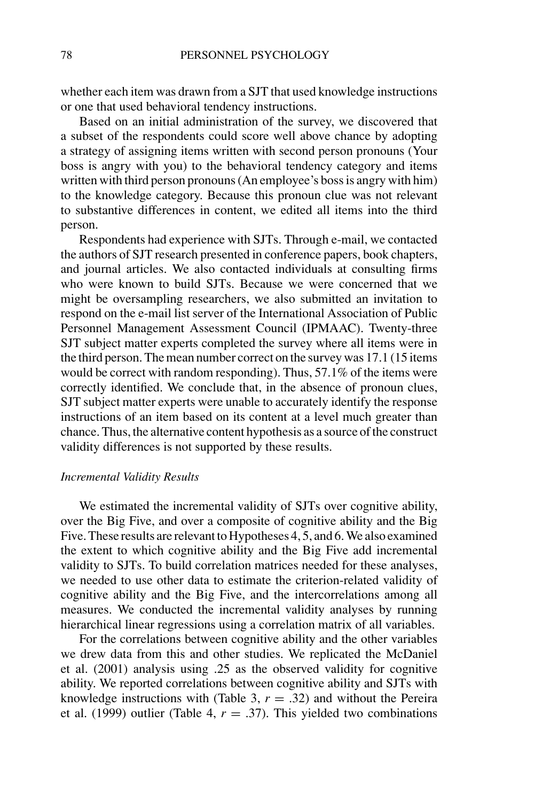whether each item was drawn from a SJT that used knowledge instructions or one that used behavioral tendency instructions.

Based on an initial administration of the survey, we discovered that a subset of the respondents could score well above chance by adopting a strategy of assigning items written with second person pronouns (Your boss is angry with you) to the behavioral tendency category and items written with third person pronouns (An employee's boss is angry with him) to the knowledge category. Because this pronoun clue was not relevant to substantive differences in content, we edited all items into the third person.

Respondents had experience with SJTs. Through e-mail, we contacted the authors of SJT research presented in conference papers, book chapters, and journal articles. We also contacted individuals at consulting firms who were known to build SJTs. Because we were concerned that we might be oversampling researchers, we also submitted an invitation to respond on the e-mail list server of the International Association of Public Personnel Management Assessment Council (IPMAAC). Twenty-three SJT subject matter experts completed the survey where all items were in the third person. The mean number correct on the survey was 17.1 (15 items would be correct with random responding). Thus, 57.1% of the items were correctly identified. We conclude that, in the absence of pronoun clues, SJT subject matter experts were unable to accurately identify the response instructions of an item based on its content at a level much greater than chance. Thus, the alternative content hypothesis as a source of the construct validity differences is not supported by these results.

#### *Incremental Validity Results*

We estimated the incremental validity of SJTs over cognitive ability, over the Big Five, and over a composite of cognitive ability and the Big Five. These results are relevant to Hypotheses 4, 5, and 6. We also examined the extent to which cognitive ability and the Big Five add incremental validity to SJTs. To build correlation matrices needed for these analyses, we needed to use other data to estimate the criterion-related validity of cognitive ability and the Big Five, and the intercorrelations among all measures. We conducted the incremental validity analyses by running hierarchical linear regressions using a correlation matrix of all variables.

For the correlations between cognitive ability and the other variables we drew data from this and other studies. We replicated the McDaniel et al. (2001) analysis using .25 as the observed validity for cognitive ability. We reported correlations between cognitive ability and SJTs with knowledge instructions with (Table 3,  $r = .32$ ) and without the Pereira et al. (1999) outlier (Table 4,  $r = .37$ ). This yielded two combinations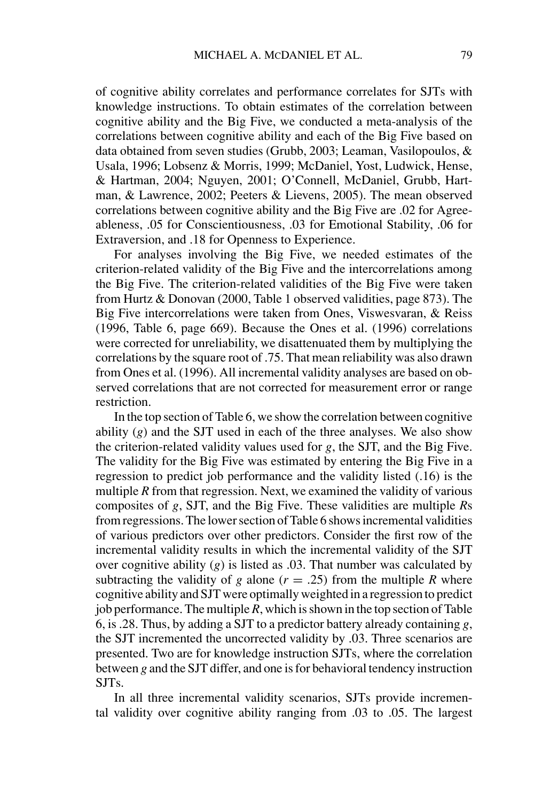of cognitive ability correlates and performance correlates for SJTs with knowledge instructions. To obtain estimates of the correlation between cognitive ability and the Big Five, we conducted a meta-analysis of the correlations between cognitive ability and each of the Big Five based on data obtained from seven studies (Grubb, 2003; Leaman, Vasilopoulos, & Usala, 1996; Lobsenz & Morris, 1999; McDaniel, Yost, Ludwick, Hense, & Hartman, 2004; Nguyen, 2001; O'Connell, McDaniel, Grubb, Hartman, & Lawrence, 2002; Peeters & Lievens, 2005). The mean observed correlations between cognitive ability and the Big Five are .02 for Agreeableness, .05 for Conscientiousness, .03 for Emotional Stability, .06 for Extraversion, and .18 for Openness to Experience.

For analyses involving the Big Five, we needed estimates of the criterion-related validity of the Big Five and the intercorrelations among the Big Five. The criterion-related validities of the Big Five were taken from Hurtz & Donovan (2000, Table 1 observed validities, page 873). The Big Five intercorrelations were taken from Ones, Viswesvaran, & Reiss (1996, Table 6, page 669). Because the Ones et al. (1996) correlations were corrected for unreliability, we disattenuated them by multiplying the correlations by the square root of .75. That mean reliability was also drawn from Ones et al. (1996). All incremental validity analyses are based on observed correlations that are not corrected for measurement error or range restriction.

In the top section of Table 6, we show the correlation between cognitive ability  $(g)$  and the SJT used in each of the three analyses. We also show the criterion-related validity values used for *g*, the SJT, and the Big Five. The validity for the Big Five was estimated by entering the Big Five in a regression to predict job performance and the validity listed (.16) is the multiple *R* from that regression. Next, we examined the validity of various composites of *g*, SJT, and the Big Five. These validities are multiple *R*s from regressions. The lower section of Table 6 shows incremental validities of various predictors over other predictors. Consider the first row of the incremental validity results in which the incremental validity of the SJT over cognitive ability (*g*) is listed as .03. That number was calculated by subtracting the validity of *g* alone ( $r = .25$ ) from the multiple *R* where cognitive ability and SJT were optimally weighted in a regression to predict job performance. The multiple*R*, which is shown in the top section of Table 6, is .28. Thus, by adding a SJT to a predictor battery already containing *g*, the SJT incremented the uncorrected validity by .03. Three scenarios are presented. Two are for knowledge instruction SJTs, where the correlation between *g* and the SJT differ, and one is for behavioral tendency instruction SJTs.

In all three incremental validity scenarios, SJTs provide incremental validity over cognitive ability ranging from .03 to .05. The largest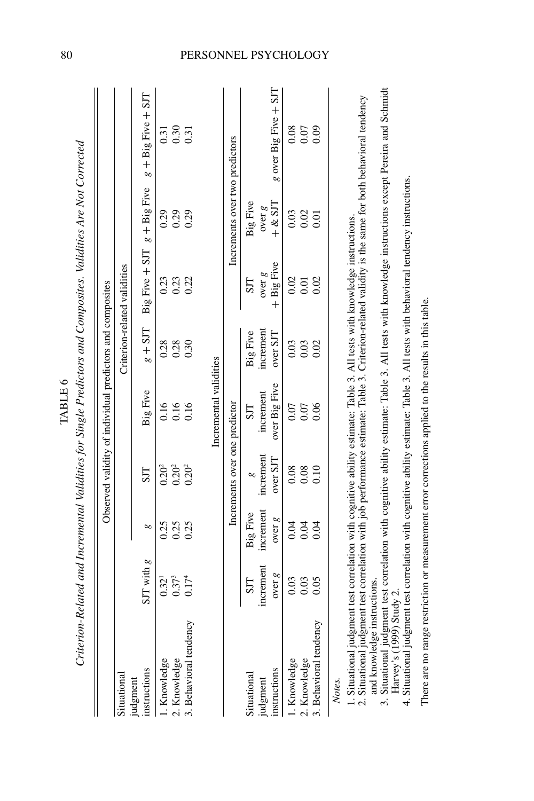|                                                                                                                                      | Ì |
|--------------------------------------------------------------------------------------------------------------------------------------|---|
| トーキ<br>֧֧֧ׅ֧ׅ֧ׅ֧ׅׅ֧ׅ֧ׅ֧ׅ֧ׅ֧ׅ֧֧֧ׅ֧ׅ֧ׅ֧֛ׅ֧֧֧ׅ֧ׅ֧֛ׅ֧֛ׅ֧֛֚֚֚֚֚֚֚֚֚֚֚֚֚֚֚֚֚֚֚֚֟֕֝֓֝֝֝֬֝֝֬֝֬֝֬֝֬֝֜֝֬֝֬֝֜<br>֧֧֛֛ׅ֛֛֧֛֧֛ׅ֛֛֛֛֛֚֚֚֚֚֚֝֝֘֜֝֜֜ |   |

|                                                                                                                                                                                    |              |           |                               | Observed validity of individual predictors and composites |           |                                 |                                |                                    |
|------------------------------------------------------------------------------------------------------------------------------------------------------------------------------------|--------------|-----------|-------------------------------|-----------------------------------------------------------|-----------|---------------------------------|--------------------------------|------------------------------------|
| Situational                                                                                                                                                                        |              |           |                               |                                                           |           | Criterion-related validities    |                                |                                    |
| instructions<br>judgment                                                                                                                                                           | SJT with $g$ | 8         | 5T                            | Big Five                                                  | $g + ST$  | Big Five $+$ SJT $g +$ Big Five |                                | $g + \text{Big Five} + \text{SJT}$ |
| 1. Knowledge                                                                                                                                                                       | $0.32^{1}$   | 0.25      | $0.20^{2}$                    | 0.16                                                      | 0.28      | 0.23                            | 0.29                           | $\overline{0.31}$                  |
| 2. Knowledge                                                                                                                                                                       | $0.37^{3}$   | 0.25      | $0.20^{2}$                    | 0.16                                                      | 0.28      | 0.23                            | 0.29                           | 0.30                               |
| 3. Behavioral tendency                                                                                                                                                             | $0.17^{4}$   | 0.25      | $0.20^{2}$                    | 0.16                                                      | 0.30      | 0.22                            | 0.29                           | 0.31                               |
|                                                                                                                                                                                    |              |           |                               | Incremental validities                                    |           |                                 |                                |                                    |
|                                                                                                                                                                                    |              |           | Increments over one predictor |                                                           |           |                                 | Increments over two predictors |                                    |
| Situational                                                                                                                                                                        | SП           | Big Five  | œ                             | <b>SJT</b>                                                | Big Five  | <b>SIT</b>                      | Big Five                       |                                    |
| judgment                                                                                                                                                                           | increment    | increment | increment                     | increment                                                 | increment | over $g$                        | over $g$                       |                                    |
| instructions                                                                                                                                                                       | over $g$     | over $g$  | over $ST$                     | over Big Five                                             | over SJT  | + Big Five                      | $+ 8.5$                        | g over Big Five $+$ SJT            |
| 1. Knowledge                                                                                                                                                                       | 0.03         | 0.04      | 0.08                          | 0.07                                                      | 0.03      | 0.02                            | 0.03                           | 0.08                               |
| 2. Knowledge                                                                                                                                                                       | 0.03         | 0.04      | 0.08                          | 0.07                                                      | 0.03      | 0.01                            | 0.02                           | 0.07                               |
| 3. Behavioral tendency                                                                                                                                                             | 0.05         | 0.04      | 0.10                          | 0.06                                                      | 0.02      | 0.02                            | 0.01                           | 0.09                               |
| Notes.                                                                                                                                                                             |              |           |                               |                                                           |           |                                 |                                |                                    |
| I. Situational judgment test correlation with cognitive ability estimate: Table 3. All tests with knowledge instructions.                                                          |              |           |                               |                                                           |           |                                 |                                |                                    |
| 2. Situational judgment test correlation with job performance estimate: Table 3. Criterion-related validity is the same for both behavioral tendency<br>and leagulades improvisors |              |           |                               |                                                           |           |                                 |                                |                                    |

and knowledge instructions.

and knowledge instructions.<br>3. Situational judgment test correlation with cognitive ability estimate: Table 3. All tests with knowledge instructions except Pereira and Schmidt<br>Harvey's (1999) Study 2.<br>4. Situational judgme 3. Situational judgment test correlation with cognitive ability estimate: Table 3. All tests with knowledge instructions except Pereira and Schmidt Harvey's (1999) Study 2.

4. Situational judgment test correlation with cognitive ability estimate: Table 3. All tests with behavioral tendency instructions.

There are no range restriction or measurement error corrections applied to the results in this table. There are no range restriction or measurement error corrections applied to the results in this table.

# 80 PERSONNEL PSYCHOLOGY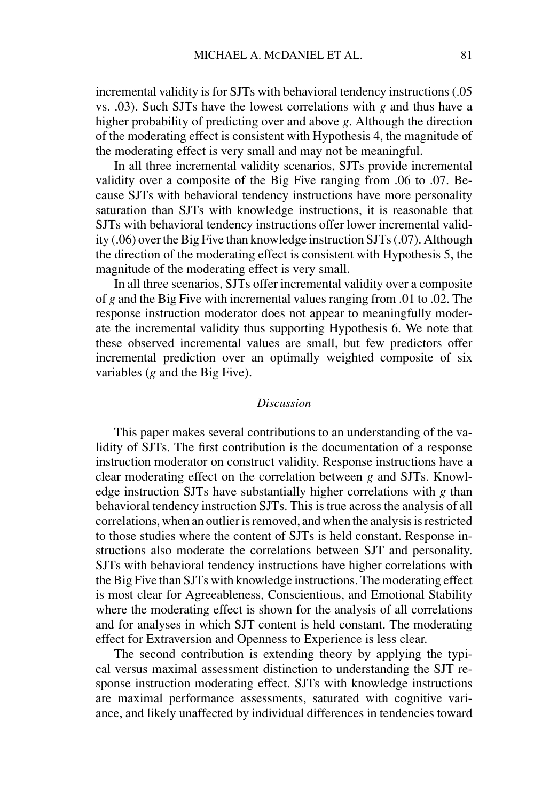incremental validity is for SJTs with behavioral tendency instructions (.05 vs. .03). Such SJTs have the lowest correlations with *g* and thus have a higher probability of predicting over and above *g*. Although the direction of the moderating effect is consistent with Hypothesis 4, the magnitude of the moderating effect is very small and may not be meaningful.

In all three incremental validity scenarios, SJTs provide incremental validity over a composite of the Big Five ranging from .06 to .07. Because SJTs with behavioral tendency instructions have more personality saturation than SJTs with knowledge instructions, it is reasonable that SJTs with behavioral tendency instructions offer lower incremental validity (.06) over the Big Five than knowledge instruction SJTs (.07). Although the direction of the moderating effect is consistent with Hypothesis 5, the magnitude of the moderating effect is very small.

In all three scenarios, SJTs offer incremental validity over a composite of *g* and the Big Five with incremental values ranging from .01 to .02. The response instruction moderator does not appear to meaningfully moderate the incremental validity thus supporting Hypothesis 6. We note that these observed incremental values are small, but few predictors offer incremental prediction over an optimally weighted composite of six variables (*g* and the Big Five).

### *Discussion*

This paper makes several contributions to an understanding of the validity of SJTs. The first contribution is the documentation of a response instruction moderator on construct validity. Response instructions have a clear moderating effect on the correlation between *g* and SJTs. Knowledge instruction SJTs have substantially higher correlations with *g* than behavioral tendency instruction SJTs. This is true across the analysis of all correlations, when an outlier is removed, and when the analysis is restricted to those studies where the content of SJTs is held constant. Response instructions also moderate the correlations between SJT and personality. SJTs with behavioral tendency instructions have higher correlations with the Big Five than SJTs with knowledge instructions. The moderating effect is most clear for Agreeableness, Conscientious, and Emotional Stability where the moderating effect is shown for the analysis of all correlations and for analyses in which SJT content is held constant. The moderating effect for Extraversion and Openness to Experience is less clear.

The second contribution is extending theory by applying the typical versus maximal assessment distinction to understanding the SJT response instruction moderating effect. SJTs with knowledge instructions are maximal performance assessments, saturated with cognitive variance, and likely unaffected by individual differences in tendencies toward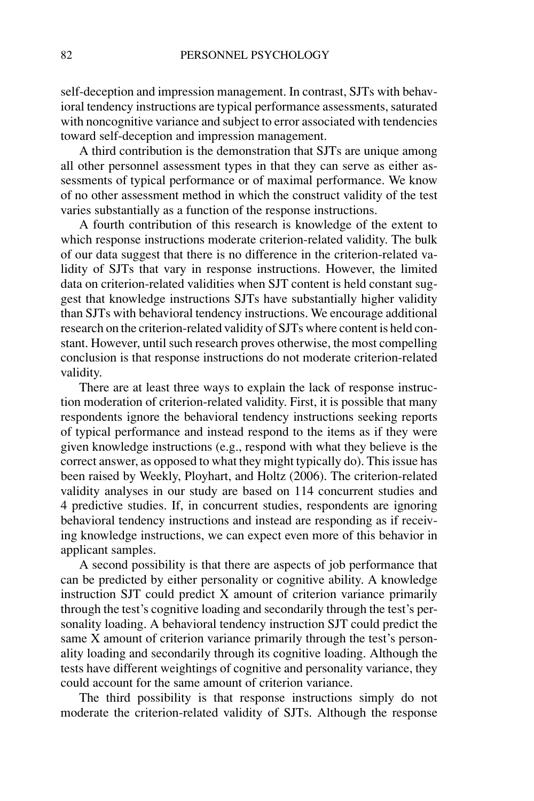self-deception and impression management. In contrast, SJTs with behavioral tendency instructions are typical performance assessments, saturated with noncognitive variance and subject to error associated with tendencies toward self-deception and impression management.

A third contribution is the demonstration that SJTs are unique among all other personnel assessment types in that they can serve as either assessments of typical performance or of maximal performance. We know of no other assessment method in which the construct validity of the test varies substantially as a function of the response instructions.

A fourth contribution of this research is knowledge of the extent to which response instructions moderate criterion-related validity. The bulk of our data suggest that there is no difference in the criterion-related validity of SJTs that vary in response instructions. However, the limited data on criterion-related validities when SJT content is held constant suggest that knowledge instructions SJTs have substantially higher validity than SJTs with behavioral tendency instructions. We encourage additional research on the criterion-related validity of SJTs where content is held constant. However, until such research proves otherwise, the most compelling conclusion is that response instructions do not moderate criterion-related validity.

There are at least three ways to explain the lack of response instruction moderation of criterion-related validity. First, it is possible that many respondents ignore the behavioral tendency instructions seeking reports of typical performance and instead respond to the items as if they were given knowledge instructions (e.g., respond with what they believe is the correct answer, as opposed to what they might typically do). This issue has been raised by Weekly, Ployhart, and Holtz (2006). The criterion-related validity analyses in our study are based on 114 concurrent studies and 4 predictive studies. If, in concurrent studies, respondents are ignoring behavioral tendency instructions and instead are responding as if receiving knowledge instructions, we can expect even more of this behavior in applicant samples.

A second possibility is that there are aspects of job performance that can be predicted by either personality or cognitive ability. A knowledge instruction SJT could predict X amount of criterion variance primarily through the test's cognitive loading and secondarily through the test's personality loading. A behavioral tendency instruction SJT could predict the same  $\overline{X}$  amount of criterion variance primarily through the test's personality loading and secondarily through its cognitive loading. Although the tests have different weightings of cognitive and personality variance, they could account for the same amount of criterion variance.

The third possibility is that response instructions simply do not moderate the criterion-related validity of SJTs. Although the response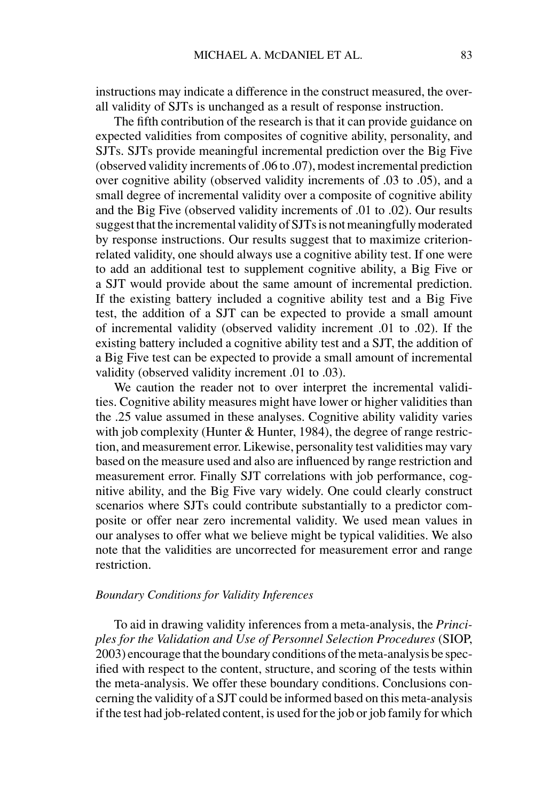instructions may indicate a difference in the construct measured, the overall validity of SJTs is unchanged as a result of response instruction.

The fifth contribution of the research is that it can provide guidance on expected validities from composites of cognitive ability, personality, and SJTs. SJTs provide meaningful incremental prediction over the Big Five (observed validity increments of .06 to .07), modest incremental prediction over cognitive ability (observed validity increments of .03 to .05), and a small degree of incremental validity over a composite of cognitive ability and the Big Five (observed validity increments of .01 to .02). Our results suggest that the incremental validity of SJTs is not meaningfully moderated by response instructions. Our results suggest that to maximize criterionrelated validity, one should always use a cognitive ability test. If one were to add an additional test to supplement cognitive ability, a Big Five or a SJT would provide about the same amount of incremental prediction. If the existing battery included a cognitive ability test and a Big Five test, the addition of a SJT can be expected to provide a small amount of incremental validity (observed validity increment .01 to .02). If the existing battery included a cognitive ability test and a SJT, the addition of a Big Five test can be expected to provide a small amount of incremental validity (observed validity increment .01 to .03).

We caution the reader not to over interpret the incremental validities. Cognitive ability measures might have lower or higher validities than the .25 value assumed in these analyses. Cognitive ability validity varies with job complexity (Hunter  $&$  Hunter, 1984), the degree of range restriction, and measurement error. Likewise, personality test validities may vary based on the measure used and also are influenced by range restriction and measurement error. Finally SJT correlations with job performance, cognitive ability, and the Big Five vary widely. One could clearly construct scenarios where SJTs could contribute substantially to a predictor composite or offer near zero incremental validity. We used mean values in our analyses to offer what we believe might be typical validities. We also note that the validities are uncorrected for measurement error and range restriction.

## *Boundary Conditions for Validity Inferences*

To aid in drawing validity inferences from a meta-analysis, the *Principles for the Validation and Use of Personnel Selection Procedures* (SIOP, 2003) encourage that the boundary conditions of the meta-analysis be specified with respect to the content, structure, and scoring of the tests within the meta-analysis. We offer these boundary conditions. Conclusions concerning the validity of a SJT could be informed based on this meta-analysis if the test had job-related content, is used for the job or job family for which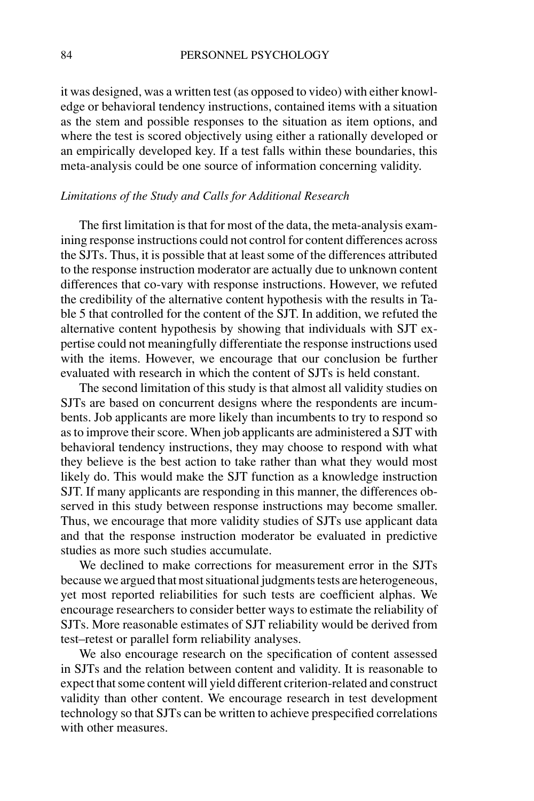it was designed, was a written test (as opposed to video) with either knowledge or behavioral tendency instructions, contained items with a situation as the stem and possible responses to the situation as item options, and where the test is scored objectively using either a rationally developed or an empirically developed key. If a test falls within these boundaries, this meta-analysis could be one source of information concerning validity.

### *Limitations of the Study and Calls for Additional Research*

The first limitation is that for most of the data, the meta-analysis examining response instructions could not control for content differences across the SJTs. Thus, it is possible that at least some of the differences attributed to the response instruction moderator are actually due to unknown content differences that co-vary with response instructions. However, we refuted the credibility of the alternative content hypothesis with the results in Table 5 that controlled for the content of the SJT. In addition, we refuted the alternative content hypothesis by showing that individuals with SJT expertise could not meaningfully differentiate the response instructions used with the items. However, we encourage that our conclusion be further evaluated with research in which the content of SJTs is held constant.

The second limitation of this study is that almost all validity studies on SJTs are based on concurrent designs where the respondents are incumbents. Job applicants are more likely than incumbents to try to respond so as to improve their score. When job applicants are administered a SJT with behavioral tendency instructions, they may choose to respond with what they believe is the best action to take rather than what they would most likely do. This would make the SJT function as a knowledge instruction SJT. If many applicants are responding in this manner, the differences observed in this study between response instructions may become smaller. Thus, we encourage that more validity studies of SJTs use applicant data and that the response instruction moderator be evaluated in predictive studies as more such studies accumulate.

We declined to make corrections for measurement error in the SJTs because we argued that most situational judgments tests are heterogeneous, yet most reported reliabilities for such tests are coefficient alphas. We encourage researchers to consider better ways to estimate the reliability of SJTs. More reasonable estimates of SJT reliability would be derived from test–retest or parallel form reliability analyses.

We also encourage research on the specification of content assessed in SJTs and the relation between content and validity. It is reasonable to expect that some content will yield different criterion-related and construct validity than other content. We encourage research in test development technology so that SJTs can be written to achieve prespecified correlations with other measures.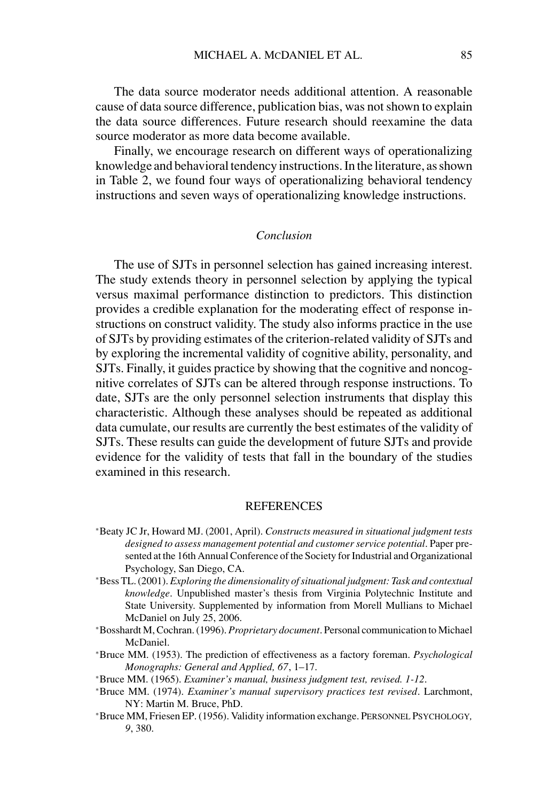The data source moderator needs additional attention. A reasonable cause of data source difference, publication bias, was not shown to explain the data source differences. Future research should reexamine the data source moderator as more data become available.

Finally, we encourage research on different ways of operationalizing knowledge and behavioral tendency instructions. In the literature, as shown in Table 2, we found four ways of operationalizing behavioral tendency instructions and seven ways of operationalizing knowledge instructions.

#### *Conclusion*

The use of SJTs in personnel selection has gained increasing interest. The study extends theory in personnel selection by applying the typical versus maximal performance distinction to predictors. This distinction provides a credible explanation for the moderating effect of response instructions on construct validity. The study also informs practice in the use of SJTs by providing estimates of the criterion-related validity of SJTs and by exploring the incremental validity of cognitive ability, personality, and SJTs. Finally, it guides practice by showing that the cognitive and noncognitive correlates of SJTs can be altered through response instructions. To date, SJTs are the only personnel selection instruments that display this characteristic. Although these analyses should be repeated as additional data cumulate, our results are currently the best estimates of the validity of SJTs. These results can guide the development of future SJTs and provide evidence for the validity of tests that fall in the boundary of the studies examined in this research.

#### **REFERENCES**

- <sup>∗</sup>Beaty JC Jr, Howard MJ. (2001, April). *Constructs measured in situational judgment tests designed to assess management potential and customer service potential*. Paper presented at the 16th Annual Conference of the Society for Industrial and Organizational Psychology, San Diego, CA.
- <sup>∗</sup>Bess TL. (2001). *Exploring the dimensionality of situational judgment: Task and contextual knowledge*. Unpublished master's thesis from Virginia Polytechnic Institute and State University. Supplemented by information from Morell Mullians to Michael McDaniel on July 25, 2006.
- <sup>∗</sup>Bosshardt M, Cochran. (1996). *Proprietary document*. Personal communication to Michael McDaniel.
- <sup>∗</sup>Bruce MM. (1953). The prediction of effectiveness as a factory foreman. *Psychological Monographs: General and Applied, 67*, 1–17.
- <sup>∗</sup>Bruce MM. (1965). *Examiner's manual, business judgment test, revised. 1-12*.
- <sup>∗</sup>Bruce MM. (1974). *Examiner's manual supervisory practices test revised*. Larchmont, NY: Martin M. Bruce, PhD.
- <sup>∗</sup>Bruce MM, Friesen EP. (1956). Validity information exchange. PERSONNEL PSYCHOLOGY*, 9*, 380.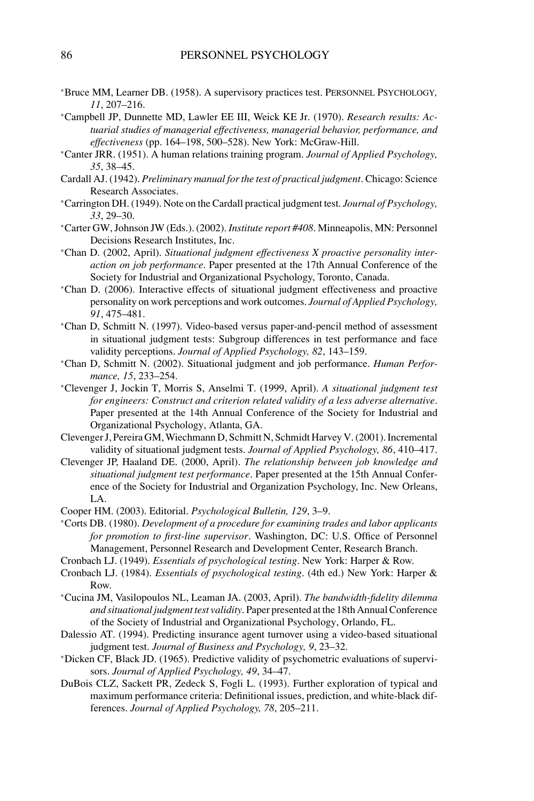- <sup>∗</sup>Bruce MM, Learner DB. (1958). A supervisory practices test. PERSONNEL PSYCHOLOGY*, 11*, 207–216.
- <sup>∗</sup>Campbell JP, Dunnette MD, Lawler EE III, Weick KE Jr. (1970). *Research results: Actuarial studies of managerial effectiveness, managerial behavior, performance, and effectiveness* (pp. 164–198, 500–528). New York: McGraw-Hill.
- <sup>∗</sup>Canter JRR. (1951). A human relations training program. *Journal of Applied Psychology, 35*, 38–45.
- Cardall AJ. (1942). *Preliminary manual for the test of practical judgment*. Chicago: Science Research Associates.
- <sup>∗</sup>Carrington DH. (1949). Note on the Cardall practical judgment test. *Journal of Psychology, 33*, 29–30.
- <sup>∗</sup>Carter GW, Johnson JW (Eds.). (2002). *Institute report #408*. Minneapolis, MN: Personnel Decisions Research Institutes, Inc.
- <sup>∗</sup>Chan D. (2002, April). *Situational judgment effectiveness X proactive personality interaction on job performance*. Paper presented at the 17th Annual Conference of the Society for Industrial and Organizational Psychology, Toronto, Canada.
- <sup>∗</sup>Chan D. (2006). Interactive effects of situational judgment effectiveness and proactive personality on work perceptions and work outcomes. *Journal of Applied Psychology, 91*, 475–481.
- <sup>∗</sup>Chan D, Schmitt N. (1997). Video-based versus paper-and-pencil method of assessment in situational judgment tests: Subgroup differences in test performance and face validity perceptions. *Journal of Applied Psychology, 82*, 143–159.
- <sup>∗</sup>Chan D, Schmitt N. (2002). Situational judgment and job performance. *Human Performance, 15*, 233–254.
- <sup>∗</sup>Clevenger J, Jockin T, Morris S, Anselmi T. (1999, April). *A situational judgment test for engineers: Construct and criterion related validity of a less adverse alternative*. Paper presented at the 14th Annual Conference of the Society for Industrial and Organizational Psychology, Atlanta, GA.
- Clevenger J, Pereira GM, Wiechmann D, Schmitt N, Schmidt Harvey V. (2001). Incremental validity of situational judgment tests. *Journal of Applied Psychology, 86*, 410–417.
- Clevenger JP, Haaland DE. (2000, April). *The relationship between job knowledge and situational judgment test performance*. Paper presented at the 15th Annual Conference of the Society for Industrial and Organization Psychology, Inc. New Orleans, LA.
- Cooper HM. (2003). Editorial. *Psychological Bulletin, 129*, 3–9.
- <sup>∗</sup>Corts DB. (1980). *Development of a procedure for examining trades and labor applicants for promotion to first-line supervisor*. Washington, DC: U.S. Office of Personnel Management, Personnel Research and Development Center, Research Branch.
- Cronbach LJ. (1949). *Essentials of psychological testing*. New York: Harper & Row.
- Cronbach LJ. (1984). *Essentials of psychological testing*. (4th ed.) New York: Harper & Row.
- <sup>∗</sup>Cucina JM, Vasilopoulos NL, Leaman JA. (2003, April). *The bandwidth-fidelity dilemma and situational judgment test validity*. Paper presented at the 18th Annual Conference of the Society of Industrial and Organizational Psychology, Orlando, FL.
- Dalessio AT. (1994). Predicting insurance agent turnover using a video-based situational judgment test. *Journal of Business and Psychology, 9*, 23–32.
- ∗Dicken CF, Black JD. (1965). Predictive validity of psychometric evaluations of supervisors. *Journal of Applied Psychology, 49*, 34–47.
- DuBois CLZ, Sackett PR, Zedeck S, Fogli L. (1993). Further exploration of typical and maximum performance criteria: Definitional issues, prediction, and white-black differences. *Journal of Applied Psychology, 78*, 205–211.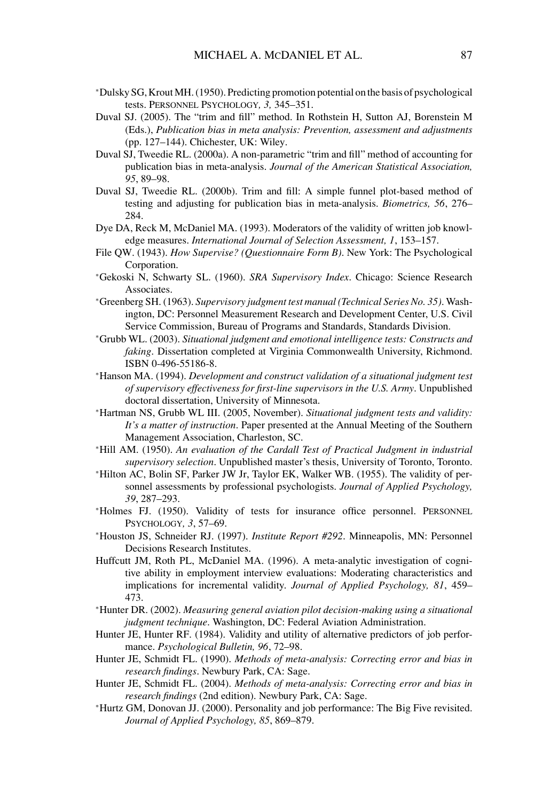- <sup>∗</sup>Dulsky SG, Krout MH. (1950). Predicting promotion potential on the basis of psychological tests. PERSONNEL PSYCHOLOGY*, 3,* 345–351.
- Duval SJ. (2005). The "trim and fill" method. In Rothstein H, Sutton AJ, Borenstein M (Eds.), *Publication bias in meta analysis: Prevention, assessment and adjustments* (pp. 127–144). Chichester, UK: Wiley.
- Duval SJ, Tweedie RL. (2000a). A non-parametric "trim and fill" method of accounting for publication bias in meta-analysis. *Journal of the American Statistical Association, 95*, 89–98.
- Duval SJ, Tweedie RL. (2000b). Trim and fill: A simple funnel plot-based method of testing and adjusting for publication bias in meta-analysis. *Biometrics, 56*, 276– 284.
- Dye DA, Reck M, McDaniel MA. (1993). Moderators of the validity of written job knowledge measures. *International Journal of Selection Assessment, 1*, 153–157.
- File QW. (1943). *How Supervise? (Questionnaire Form B)*. New York: The Psychological Corporation.
- <sup>∗</sup>Gekoski N, Schwarty SL. (1960). *SRA Supervisory Index*. Chicago: Science Research Associates.
- <sup>∗</sup>Greenberg SH. (1963). *Supervisory judgment test manual (Technical Series No. 35)*. Washington, DC: Personnel Measurement Research and Development Center, U.S. Civil Service Commission, Bureau of Programs and Standards, Standards Division.
- <sup>∗</sup>Grubb WL. (2003). *Situational judgment and emotional intelligence tests: Constructs and faking*. Dissertation completed at Virginia Commonwealth University, Richmond. ISBN 0-496-55186-8.
- <sup>∗</sup>Hanson MA. (1994). *Development and construct validation of a situational judgment test of supervisory effectiveness for first-line supervisors in the U.S. Army*. Unpublished doctoral dissertation, University of Minnesota.
- <sup>∗</sup>Hartman NS, Grubb WL III. (2005, November). *Situational judgment tests and validity: It's a matter of instruction*. Paper presented at the Annual Meeting of the Southern Management Association, Charleston, SC.
- <sup>∗</sup>Hill AM. (1950). *An evaluation of the Cardall Test of Practical Judgment in industrial supervisory selection*. Unpublished master's thesis, University of Toronto, Toronto.
- ∗Hilton AC, Bolin SF, Parker JW Jr, Taylor EK, Walker WB. (1955). The validity of personnel assessments by professional psychologists. *Journal of Applied Psychology, 39*, 287–293.
- <sup>∗</sup>Holmes FJ. (1950). Validity of tests for insurance office personnel. PERSONNEL PSYCHOLOGY*, 3*, 57–69.
- <sup>∗</sup>Houston JS, Schneider RJ. (1997). *Institute Report #292*. Minneapolis, MN: Personnel Decisions Research Institutes.
- Huffcutt JM, Roth PL, McDaniel MA. (1996). A meta-analytic investigation of cognitive ability in employment interview evaluations: Moderating characteristics and implications for incremental validity. *Journal of Applied Psychology, 81*, 459– 473.
- <sup>∗</sup>Hunter DR. (2002). *Measuring general aviation pilot decision-making using a situational judgment technique*. Washington, DC: Federal Aviation Administration.
- Hunter JE, Hunter RF. (1984). Validity and utility of alternative predictors of job performance. *Psychological Bulletin, 96*, 72–98.
- Hunter JE, Schmidt FL. (1990). *Methods of meta-analysis: Correcting error and bias in research findings*. Newbury Park, CA: Sage.
- Hunter JE, Schmidt FL. (2004). *Methods of meta-analysis: Correcting error and bias in research findings* (2nd edition). Newbury Park, CA: Sage.
- <sup>∗</sup>Hurtz GM, Donovan JJ. (2000). Personality and job performance: The Big Five revisited. *Journal of Applied Psychology, 85*, 869–879.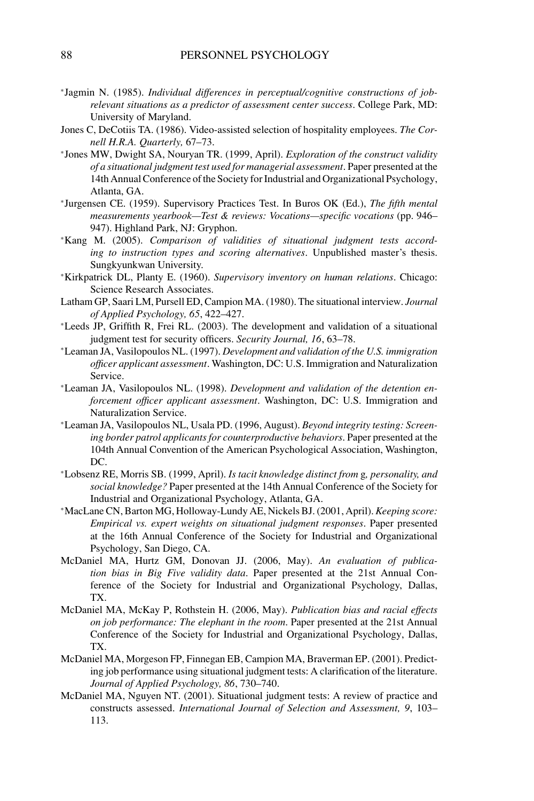- <sup>∗</sup>Jagmin N. (1985). *Individual differences in perceptual/cognitive constructions of jobrelevant situations as a predictor of assessment center success*. College Park, MD: University of Maryland.
- Jones C, DeCotiis TA. (1986). Video-assisted selection of hospitality employees. *The Cornell H.R.A. Quarterly,* 67–73.
- <sup>∗</sup>Jones MW, Dwight SA, Nouryan TR. (1999, April). *Exploration of the construct validity of a situational judgment test used for managerial assessment*. Paper presented at the 14th Annual Conference of the Society for Industrial and Organizational Psychology, Atlanta, GA.
- <sup>∗</sup>Jurgensen CE. (1959). Supervisory Practices Test. In Buros OK (Ed.), *The fifth mental measurements yearbook—Test & reviews: Vocations—specific vocations* (pp. 946– 947). Highland Park, NJ: Gryphon.
- <sup>∗</sup>Kang M. (2005). *Comparison of validities of situational judgment tests according to instruction types and scoring alternatives*. Unpublished master's thesis. Sungkyunkwan University.
- <sup>∗</sup>Kirkpatrick DL, Planty E. (1960). *Supervisory inventory on human relations*. Chicago: Science Research Associates.
- Latham GP, Saari LM, Pursell ED, Campion MA. (1980). The situational interview. *Journal of Applied Psychology, 65*, 422–427.
- <sup>∗</sup>Leeds JP, Griffith R, Frei RL. (2003). The development and validation of a situational judgment test for security officers. *Security Journal, 16*, 63–78.
- <sup>∗</sup>Leaman JA, Vasilopoulos NL. (1997). *Development and validation of the U.S. immigration officer applicant assessment*. Washington, DC: U.S. Immigration and Naturalization Service.
- <sup>∗</sup>Leaman JA, Vasilopoulos NL. (1998). *Development and validation of the detention enforcement officer applicant assessment*. Washington, DC: U.S. Immigration and Naturalization Service.
- <sup>∗</sup>Leaman JA, Vasilopoulos NL, Usala PD. (1996, August). *Beyond integrity testing: Screening border patrol applicants for counterproductive behaviors*. Paper presented at the 104th Annual Convention of the American Psychological Association, Washington, DC.
- <sup>∗</sup>Lobsenz RE, Morris SB. (1999, April). *Is tacit knowledge distinct from* g*, personality, and social knowledge?* Paper presented at the 14th Annual Conference of the Society for Industrial and Organizational Psychology, Atlanta, GA.
- <sup>∗</sup>MacLane CN, Barton MG, Holloway-Lundy AE, Nickels BJ. (2001, April).*Keeping score: Empirical vs. expert weights on situational judgment responses*. Paper presented at the 16th Annual Conference of the Society for Industrial and Organizational Psychology, San Diego, CA.
- McDaniel MA, Hurtz GM, Donovan JJ. (2006, May). *An evaluation of publication bias in Big Five validity data*. Paper presented at the 21st Annual Conference of the Society for Industrial and Organizational Psychology, Dallas, TX.
- McDaniel MA, McKay P, Rothstein H. (2006, May). *Publication bias and racial effects on job performance: The elephant in the room*. Paper presented at the 21st Annual Conference of the Society for Industrial and Organizational Psychology, Dallas, TX.
- McDaniel MA, Morgeson FP, Finnegan EB, Campion MA, Braverman EP. (2001). Predicting job performance using situational judgment tests: A clarification of the literature. *Journal of Applied Psychology, 86*, 730–740.
- McDaniel MA, Nguyen NT. (2001). Situational judgment tests: A review of practice and constructs assessed. *International Journal of Selection and Assessment, 9*, 103– 113.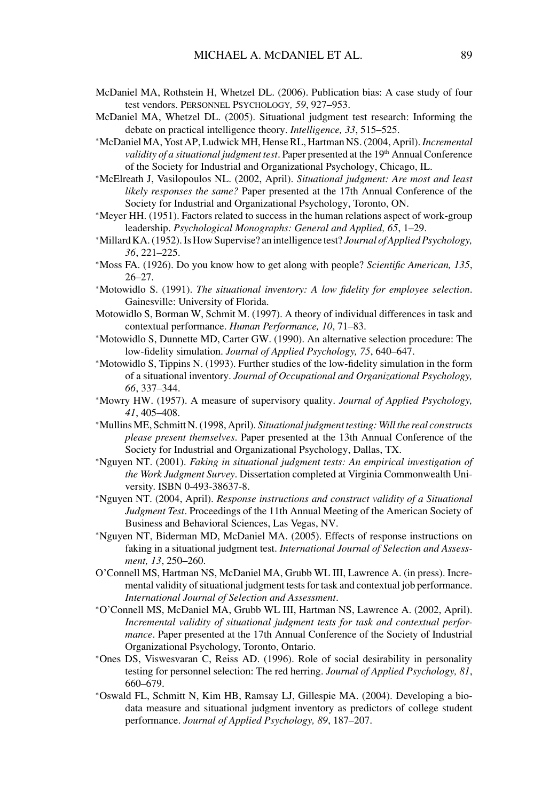- McDaniel MA, Rothstein H, Whetzel DL. (2006). Publication bias: A case study of four test vendors. PERSONNEL PSYCHOLOGY*, 59*, 927–953.
- McDaniel MA, Whetzel DL. (2005). Situational judgment test research: Informing the debate on practical intelligence theory. *Intelligence, 33*, 515–525.
- <sup>∗</sup>McDaniel MA, Yost AP, Ludwick MH, Hense RL, Hartman NS. (2004, April).*Incremental validity of a situational judgment test*. Paper presented at the 19<sup>th</sup> Annual Conference of the Society for Industrial and Organizational Psychology, Chicago, IL.
- <sup>∗</sup>McElreath J, Vasilopoulos NL. (2002, April). *Situational judgment: Are most and least likely responses the same?* Paper presented at the 17th Annual Conference of the Society for Industrial and Organizational Psychology, Toronto, ON.
- <sup>∗</sup>Meyer HH. (1951). Factors related to success in the human relations aspect of work-group leadership. *Psychological Monographs: General and Applied, 65*, 1–29.
- <sup>∗</sup>Millard KA. (1952). Is How Supervise? an intelligence test? *Journal of Applied Psychology, 36*, 221–225.
- <sup>∗</sup>Moss FA. (1926). Do you know how to get along with people? *Scientific American, 135*, 26–27.
- <sup>∗</sup>Motowidlo S. (1991). *The situational inventory: A low fidelity for employee selection*. Gainesville: University of Florida.
- Motowidlo S, Borman W, Schmit M. (1997). A theory of individual differences in task and contextual performance. *Human Performance, 10*, 71–83.
- <sup>∗</sup>Motowidlo S, Dunnette MD, Carter GW. (1990). An alternative selection procedure: The low-fidelity simulation. *Journal of Applied Psychology, 75*, 640–647.
- <sup>∗</sup>Motowidlo S, Tippins N. (1993). Further studies of the low-fidelity simulation in the form of a situational inventory. *Journal of Occupational and Organizational Psychology, 66*, 337–344.
- <sup>∗</sup>Mowry HW. (1957). A measure of supervisory quality. *Journal of Applied Psychology, 41*, 405–408.
- <sup>∗</sup>Mullins ME, Schmitt N. (1998, April). *Situational judgment testing: Will the real constructs please present themselves*. Paper presented at the 13th Annual Conference of the Society for Industrial and Organizational Psychology, Dallas, TX.
- <sup>∗</sup>Nguyen NT. (2001). *Faking in situational judgment tests: An empirical investigation of the Work Judgment Survey*. Dissertation completed at Virginia Commonwealth University. ISBN 0-493-38637-8.
- <sup>∗</sup>Nguyen NT. (2004, April). *Response instructions and construct validity of a Situational Judgment Test*. Proceedings of the 11th Annual Meeting of the American Society of Business and Behavioral Sciences, Las Vegas, NV.
- <sup>∗</sup>Nguyen NT, Biderman MD, McDaniel MA. (2005). Effects of response instructions on faking in a situational judgment test. *International Journal of Selection and Assessment, 13*, 250–260.
- O'Connell MS, Hartman NS, McDaniel MA, Grubb WL III, Lawrence A. (in press). Incremental validity of situational judgment tests for task and contextual job performance. *International Journal of Selection and Assessment*.
- <sup>∗</sup>O'Connell MS, McDaniel MA, Grubb WL III, Hartman NS, Lawrence A. (2002, April). *Incremental validity of situational judgment tests for task and contextual performance*. Paper presented at the 17th Annual Conference of the Society of Industrial Organizational Psychology, Toronto, Ontario.
- <sup>∗</sup>Ones DS, Viswesvaran C, Reiss AD. (1996). Role of social desirability in personality testing for personnel selection: The red herring. *Journal of Applied Psychology, 81*, 660–679.
- ∗Oswald FL, Schmitt N, Kim HB, Ramsay LJ, Gillespie MA. (2004). Developing a biodata measure and situational judgment inventory as predictors of college student performance. *Journal of Applied Psychology, 89*, 187–207.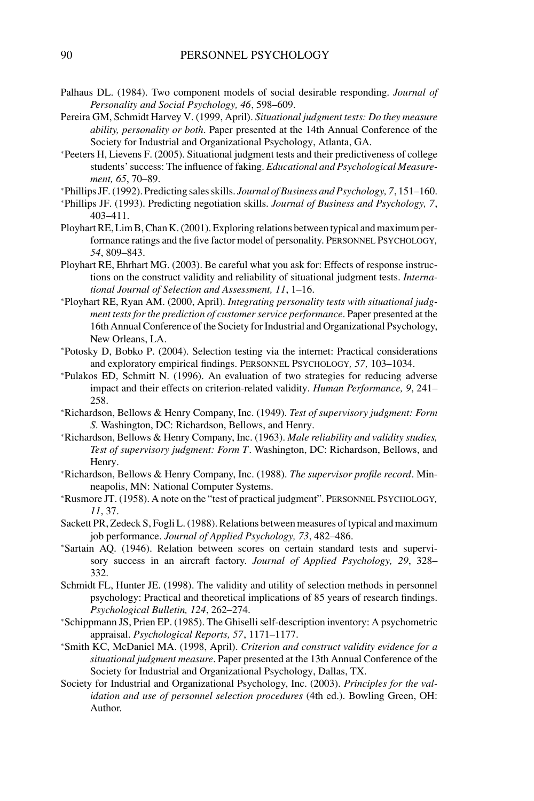- Palhaus DL. (1984). Two component models of social desirable responding. *Journal of Personality and Social Psychology, 46*, 598–609.
- Pereira GM, Schmidt Harvey V. (1999, April). *Situational judgment tests: Do they measure ability, personality or both*. Paper presented at the 14th Annual Conference of the Society for Industrial and Organizational Psychology, Atlanta, GA.
- <sup>∗</sup>Peeters H, Lievens F. (2005). Situational judgment tests and their predictiveness of college students' success: The influence of faking. *Educational and Psychological Measurement, 65*, 70–89.
- <sup>∗</sup>Phillips JF. (1992). Predicting sales skills. *Journal of Business and Psychology, 7*, 151–160.
- <sup>∗</sup>Phillips JF. (1993). Predicting negotiation skills. *Journal of Business and Psychology, 7*, 403–411.
- Ployhart RE, Lim B, Chan K. (2001). Exploring relations between typical and maximum performance ratings and the five factor model of personality. PERSONNEL PSYCHOLOGY*, 54*, 809–843.
- Ployhart RE, Ehrhart MG. (2003). Be careful what you ask for: Effects of response instructions on the construct validity and reliability of situational judgment tests. *International Journal of Selection and Assessment, 11*, 1–16.
- <sup>∗</sup>Ployhart RE, Ryan AM. (2000, April). *Integrating personality tests with situational judgment tests for the prediction of customer service performance*. Paper presented at the 16th Annual Conference of the Society for Industrial and Organizational Psychology, New Orleans, LA.
- <sup>∗</sup>Potosky D, Bobko P. (2004). Selection testing via the internet: Practical considerations and exploratory empirical findings. PERSONNEL PSYCHOLOGY*, 57,* 103–1034.
- <sup>∗</sup>Pulakos ED, Schmitt N. (1996). An evaluation of two strategies for reducing adverse impact and their effects on criterion-related validity. *Human Performance, 9*, 241– 258.
- <sup>∗</sup>Richardson, Bellows & Henry Company, Inc. (1949). *Test of supervisory judgment: Form S*. Washington, DC: Richardson, Bellows, and Henry.
- <sup>∗</sup>Richardson, Bellows & Henry Company, Inc. (1963). *Male reliability and validity studies, Test of supervisory judgment: Form T*. Washington, DC: Richardson, Bellows, and Henry.
- <sup>∗</sup>Richardson, Bellows & Henry Company, Inc. (1988). *The supervisor profile record*. Minneapolis, MN: National Computer Systems.
- <sup>∗</sup>Rusmore JT. (1958). A note on the "test of practical judgment". PERSONNEL PSYCHOLOGY*, 11*, 37.
- Sackett PR, Zedeck S, Fogli L. (1988). Relations between measures of typical and maximum job performance. *Journal of Applied Psychology, 73*, 482–486.
- ∗Sartain AQ. (1946). Relation between scores on certain standard tests and supervisory success in an aircraft factory. *Journal of Applied Psychology, 29*, 328– 332.
- Schmidt FL, Hunter JE. (1998). The validity and utility of selection methods in personnel psychology: Practical and theoretical implications of 85 years of research findings. *Psychological Bulletin, 124*, 262–274.
- <sup>∗</sup>Schippmann JS, Prien EP. (1985). The Ghiselli self-description inventory: A psychometric appraisal. *Psychological Reports, 57*, 1171–1177.
- <sup>∗</sup>Smith KC, McDaniel MA. (1998, April). *Criterion and construct validity evidence for a situational judgment measure*. Paper presented at the 13th Annual Conference of the Society for Industrial and Organizational Psychology, Dallas, TX.
- Society for Industrial and Organizational Psychology, Inc. (2003). *Principles for the validation and use of personnel selection procedures* (4th ed.). Bowling Green, OH: Author.